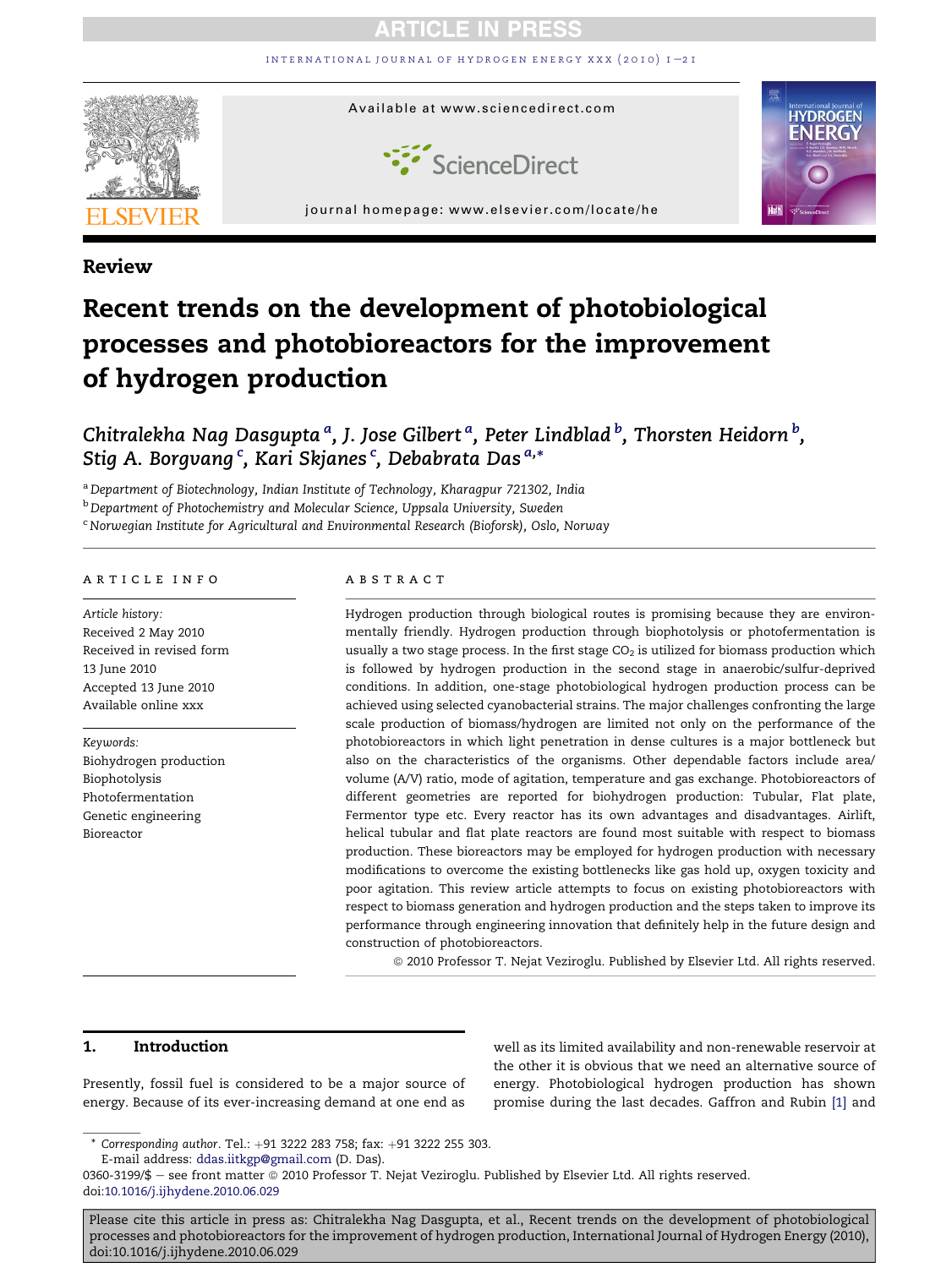## **ARTICLE IN PRESS**

INTERNATIONAL JOURNAL OF HYDROGEN ENERGY XXX  $(2010)$  I-21



Review

# Recent trends on the development of photobiological processes and photobioreactors for the improvement of hydrogen production

## Chitralekha Nag Dasgupta  ${}^{a}$ , J. Jose Gilbert  ${}^{a}$ , Peter Lindblad  ${}^{b}$ , Thorsten Heidorn  ${}^{b}$ , Stig A. Borgvang<sup>c</sup>, Kari Skjanes<sup>c</sup>, Debabrata Das<sup>a,</sup>\*

<sup>a</sup> Department of Biotechnology, Indian Institute of Technology, Kharagpur 721302, India

**b** Department of Photochemistry and Molecular Science, Uppsala University, Sweden

<sup>c</sup> Norwegian Institute for Agricultural and Environmental Research (Bioforsk), Oslo, Norway

#### article info

Article history: Received 2 May 2010 Received in revised form 13 June 2010 Accepted 13 June 2010 Available online xxx

Keywords: Biohydrogen production Biophotolysis Photofermentation Genetic engineering Bioreactor

#### **ABSTRACT**

Hydrogen production through biological routes is promising because they are environmentally friendly. Hydrogen production through biophotolysis or photofermentation is usually a two stage process. In the first stage  $CO<sub>2</sub>$  is utilized for biomass production which is followed by hydrogen production in the second stage in anaerobic/sulfur-deprived conditions. In addition, one-stage photobiological hydrogen production process can be achieved using selected cyanobacterial strains. The major challenges confronting the large scale production of biomass/hydrogen are limited not only on the performance of the photobioreactors in which light penetration in dense cultures is a major bottleneck but also on the characteristics of the organisms. Other dependable factors include area/ volume (A/V) ratio, mode of agitation, temperature and gas exchange. Photobioreactors of different geometries are reported for biohydrogen production: Tubular, Flat plate, Fermentor type etc. Every reactor has its own advantages and disadvantages. Airlift, helical tubular and flat plate reactors are found most suitable with respect to biomass production. These bioreactors may be employed for hydrogen production with necessary modifications to overcome the existing bottlenecks like gas hold up, oxygen toxicity and poor agitation. This review article attempts to focus on existing photobioreactors with respect to biomass generation and hydrogen production and the steps taken to improve its performance through engineering innovation that definitely help in the future design and construction of photobioreactors.

ª 2010 Professor T. Nejat Veziroglu. Published by Elsevier Ltd. All rights reserved.

#### 1. Introduction

Presently, fossil fuel is considered to be a major source of energy. Because of its ever-increasing demand at one end as

well as its limited availability and non-renewable reservoir at the other it is obvious that we need an alternative source of energy. Photobiological hydrogen production has shown promise during the last decades. Gaffron and Rubin [\[1\]](#page-16-0) and

0360-3199/\$ - see front matter © 2010 Professor T. Nejat Veziroglu. Published by Elsevier Ltd. All rights reserved. doi[:10.1016/j.ijhydene.2010.06.029](http://dx.doi.org/10.1016/j.ijhydene.2010.06.029)

 $*$  Corresponding author. Tel.:  $+91$  3222 283 758; fax:  $+91$  3222 255 303.

E-mail address: [ddas.iitkgp@gmail.com](mailto:ddas.iitkgp@gmail.com) (D. Das).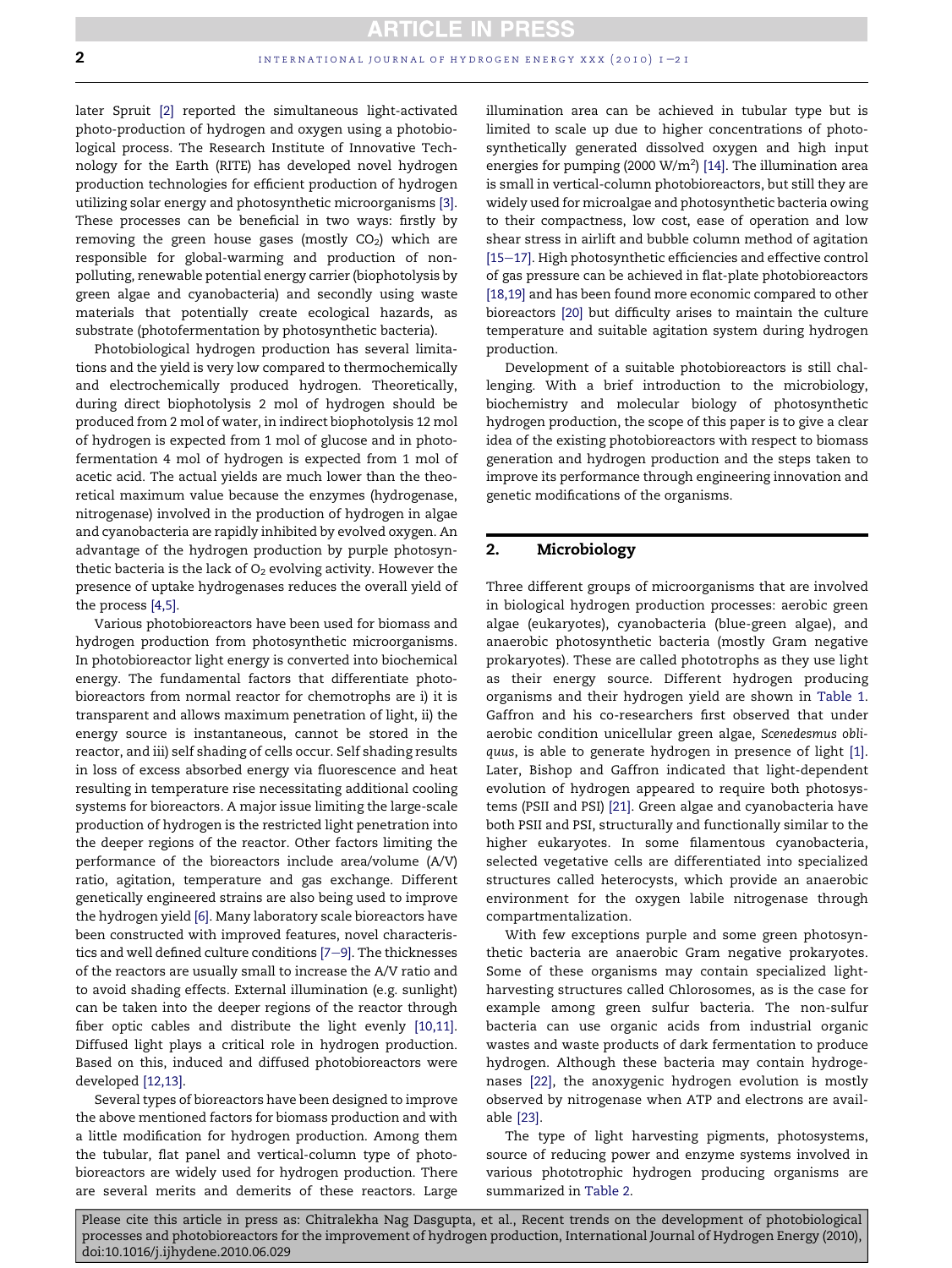later Spruit [\[2\]](#page-16-0) reported the simultaneous light-activated photo-production of hydrogen and oxygen using a photobiological process. The Research Institute of Innovative Technology for the Earth (RITE) has developed novel hydrogen production technologies for efficient production of hydrogen utilizing solar energy and photosynthetic microorganisms [\[3\]](#page-16-0). These processes can be beneficial in two ways: firstly by removing the green house gases (mostly  $CO<sub>2</sub>$ ) which are responsible for global-warming and production of nonpolluting, renewable potential energy carrier (biophotolysis by green algae and cyanobacteria) and secondly using waste materials that potentially create ecological hazards, as substrate (photofermentation by photosynthetic bacteria).

Photobiological hydrogen production has several limitations and the yield is very low compared to thermochemically and electrochemically produced hydrogen. Theoretically, during direct biophotolysis 2 mol of hydrogen should be produced from 2 mol of water, in indirect biophotolysis 12 mol of hydrogen is expected from 1 mol of glucose and in photofermentation 4 mol of hydrogen is expected from 1 mol of acetic acid. The actual yields are much lower than the theoretical maximum value because the enzymes (hydrogenase, nitrogenase) involved in the production of hydrogen in algae and cyanobacteria are rapidly inhibited by evolved oxygen. An advantage of the hydrogen production by purple photosynthetic bacteria is the lack of  $O<sub>2</sub>$  evolving activity. However the presence of uptake hydrogenases reduces the overall yield of the process [\[4,5\]](#page-16-0).

Various photobioreactors have been used for biomass and hydrogen production from photosynthetic microorganisms. In photobioreactor light energy is converted into biochemical energy. The fundamental factors that differentiate photobioreactors from normal reactor for chemotrophs are i) it is transparent and allows maximum penetration of light, ii) the energy source is instantaneous, cannot be stored in the reactor, and iii) self shading of cells occur. Self shading results in loss of excess absorbed energy via fluorescence and heat resulting in temperature rise necessitating additional cooling systems for bioreactors. A major issue limiting the large-scale production of hydrogen is the restricted light penetration into the deeper regions of the reactor. Other factors limiting the performance of the bioreactors include area/volume (A/V) ratio, agitation, temperature and gas exchange. Different genetically engineered strains are also being used to improve the hydrogen yield [\[6\].](#page-16-0) Many laboratory scale bioreactors have been constructed with improved features, novel characteristics and well defined culture conditions  $[7-9]$  $[7-9]$ . The thicknesses of the reactors are usually small to increase the A/V ratio and to avoid shading effects. External illumination (e.g. sunlight) can be taken into the deeper regions of the reactor through fiber optic cables and distribute the light evenly [\[10,11\]](#page-16-0). Diffused light plays a critical role in hydrogen production. Based on this, induced and diffused photobioreactors were developed [\[12,13\]](#page-17-0).

Several types of bioreactors have been designed to improve the above mentioned factors for biomass production and with a little modification for hydrogen production. Among them the tubular, flat panel and vertical-column type of photobioreactors are widely used for hydrogen production. There are several merits and demerits of these reactors. Large

illumination area can be achieved in tubular type but is limited to scale up due to higher concentrations of photosynthetically generated dissolved oxygen and high input energies for pumping (2000  $W/m^2$ ) [\[14\].](#page-17-0) The illumination area is small in vertical-column photobioreactors, but still they are widely used for microalgae and photosynthetic bacteria owing to their compactness, low cost, ease of operation and low shear stress in airlift and bubble column method of agitation [\[15](#page-17-0)–[17\].](#page-17-0) High photosynthetic efficiencies and effective control of gas pressure can be achieved in flat-plate photobioreactors [\[18,19\]](#page-17-0) and has been found more economic compared to other bioreactors [\[20\]](#page-17-0) but difficulty arises to maintain the culture temperature and suitable agitation system during hydrogen production.

Development of a suitable photobioreactors is still challenging. With a brief introduction to the microbiology, biochemistry and molecular biology of photosynthetic hydrogen production, the scope of this paper is to give a clear idea of the existing photobioreactors with respect to biomass generation and hydrogen production and the steps taken to improve its performance through engineering innovation and genetic modifications of the organisms.

## 2. Microbiology

Three different groups of microorganisms that are involved in biological hydrogen production processes: aerobic green algae (eukaryotes), cyanobacteria (blue-green algae), and anaerobic photosynthetic bacteria (mostly Gram negative prokaryotes). These are called phototrophs as they use light as their energy source. Different hydrogen producing organisms and their hydrogen yield are shown in [Table 1](#page-2-0). Gaffron and his co-researchers first observed that under aerobic condition unicellular green algae, Scenedesmus obliquus, is able to generate hydrogen in presence of light [\[1\]](#page-16-0). Later, Bishop and Gaffron indicated that light-dependent evolution of hydrogen appeared to require both photosystems (PSII and PSI) [\[21\].](#page-17-0) Green algae and cyanobacteria have both PSII and PSI, structurally and functionally similar to the higher eukaryotes. In some filamentous cyanobacteria, selected vegetative cells are differentiated into specialized structures called heterocysts, which provide an anaerobic environment for the oxygen labile nitrogenase through compartmentalization.

With few exceptions purple and some green photosynthetic bacteria are anaerobic Gram negative prokaryotes. Some of these organisms may contain specialized lightharvesting structures called Chlorosomes, as is the case for example among green sulfur bacteria. The non-sulfur bacteria can use organic acids from industrial organic wastes and waste products of dark fermentation to produce hydrogen. Although these bacteria may contain hydrogenases [\[22\],](#page-17-0) the anoxygenic hydrogen evolution is mostly observed by nitrogenase when ATP and electrons are available [\[23\].](#page-17-0)

The type of light harvesting pigments, photosystems, source of reducing power and enzyme systems involved in various phototrophic hydrogen producing organisms are summarized in [Table 2](#page-3-0).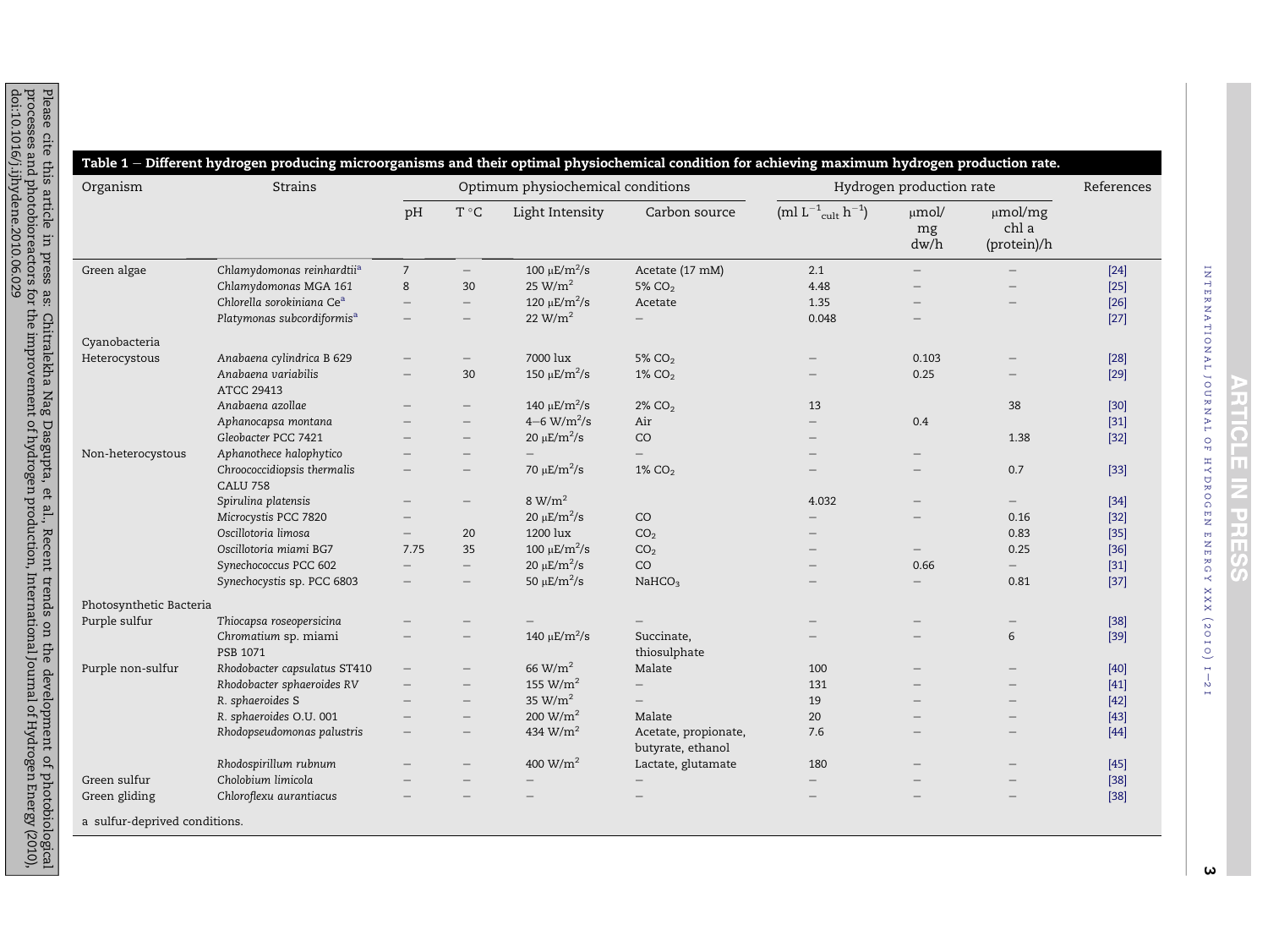| Organism                | Strains                                        |                          |                          | Optimum physiochemical conditions |                                           |                                         | Hydrogen production rate |                                      | References |
|-------------------------|------------------------------------------------|--------------------------|--------------------------|-----------------------------------|-------------------------------------------|-----------------------------------------|--------------------------|--------------------------------------|------------|
|                         |                                                | pH                       | $T\,{}^\circ\mathrm{C}$  | Light Intensity                   | Carbon source                             | (ml $L^{-1}$ <sub>cult</sub> $h^{-1}$ ) | $\mu$ mol/<br>mg<br>dw/h | $\mu$ mol/mg<br>chl a<br>(protein)/h |            |
| Green algae             | Chlamydomonas reinhardtii <sup>a</sup>         | $\overline{7}$           | $\overline{\phantom{0}}$ | 100 $\mu$ E/m <sup>2</sup> /s     | Acetate (17 mM)                           | 2.1                                     | $\overline{\phantom{m}}$ |                                      | $[24]$     |
|                         | Chlamydomonas MGA 161                          | 8                        | 30                       | 25 $W/m2$                         | 5% CO <sub>2</sub>                        | 4.48                                    |                          |                                      | $[25]$     |
|                         | Chlorella sorokiniana Ce <sup>a</sup>          | $\qquad \qquad -$        | $\overline{\phantom{a}}$ | 120 $\mu$ E/m <sup>2</sup> /s     | Acetate                                   | 1.35                                    |                          |                                      | $[26]$     |
|                         | Platymonas subcordiformis <sup>a</sup>         | $\qquad \qquad -$        | $\equiv$                 | 22 $W/m^2$                        |                                           | 0.048                                   |                          |                                      | $[27]$     |
| Cyanobacteria           |                                                |                          |                          |                                   |                                           |                                         |                          |                                      |            |
| Heterocystous           | Anabaena cylindrica B 629                      |                          | $\overline{\phantom{m}}$ | 7000 lux                          | 5% CO <sub>2</sub>                        |                                         | 0.103                    |                                      | $[28]$     |
|                         | Anabaena variabilis                            |                          | 30                       | 150 μE/m <sup>2</sup> /s          | 1% CO <sub>2</sub>                        |                                         | 0.25                     |                                      | $[29]$     |
|                         | <b>ATCC 29413</b>                              |                          |                          |                                   |                                           |                                         |                          |                                      |            |
|                         | Anabaena azollae                               | $\overline{\phantom{0}}$ | $\overline{\phantom{m}}$ | 140 $\mu$ E/m <sup>2</sup> /s     | $2\%$ CO <sub>2</sub>                     | 13                                      |                          | 38                                   | $[30]$     |
|                         | Aphanocapsa montana                            |                          | $\qquad \qquad -$        | 4–6 W/m <sup>2</sup> /s           | Air                                       | $\qquad \qquad -$                       | 0.4                      |                                      | $[31]$     |
|                         | Gleobacter PCC 7421                            | $\overline{\phantom{0}}$ | $\overline{\phantom{m}}$ | 20 μ $E/m^2/s$                    | CO                                        | $\overline{\phantom{0}}$                |                          | 1.38                                 | $[32]$     |
| Non-heterocystous       | Aphanothece halophytico                        | $\overline{\phantom{0}}$ | $\overline{\phantom{m}}$ |                                   |                                           |                                         |                          |                                      |            |
|                         | Chroococcidiopsis thermalis<br><b>CALU 758</b> | $\overline{\phantom{0}}$ | $\overline{\phantom{0}}$ | 70 $\mu$ E/m <sup>2</sup> /s      | $1\%$ CO <sub>2</sub>                     | $\equiv$                                | $\overline{\phantom{m}}$ | 0.7                                  | $[33]$     |
|                         | Spirulina platensis                            |                          | $\overline{\phantom{m}}$ | 8 W/m <sup>2</sup>                |                                           | 4.032                                   |                          | $\qquad \qquad -$                    | $[34]$     |
|                         | Microcystis PCC 7820                           |                          |                          | $20 \mu E/m^2/s$                  | CO                                        |                                         |                          | 0.16                                 | $[32]$     |
|                         | Oscillotoria limosa                            | $\overline{\phantom{0}}$ | 20                       | 1200 lux                          | CO <sub>2</sub>                           |                                         |                          | 0.83                                 | $[35]$     |
|                         | Oscillotoria miami BG7                         | 7.75                     | 35                       | 100 $\mu$ E/m <sup>2</sup> /s     | CO <sub>2</sub>                           |                                         | $\equiv$                 | 0.25                                 | $[36]$     |
|                         | Synechococcus PCC 602                          | $-$                      | $\overline{\phantom{0}}$ | 20 μ $E/m^2/s$                    | $_{\rm CO}$                               | $\equiv$                                | 0.66                     | $-$                                  | $[31]$     |
|                         | Synechocystis sp. PCC 6803                     | $\qquad \qquad -$        | $\overline{\phantom{0}}$ | 50 $\mu$ E/m <sup>2</sup> /s      | NaHCO <sub>3</sub>                        | $\equiv$                                | $\equiv$                 | 0.81                                 | $[37]$     |
| Photosynthetic Bacteria |                                                |                          |                          |                                   |                                           |                                         |                          |                                      |            |
| Purple sulfur           | Thiocapsa roseopersicina                       |                          |                          |                                   |                                           |                                         |                          |                                      | $[38]$     |
|                         | Chromatium sp. miami                           |                          | $\qquad \qquad -$        | 140 μE/m <sup>2</sup> /s          | Succinate,                                |                                         |                          | 6                                    | $[39]$     |
|                         | PSB 1071                                       |                          |                          |                                   | thiosulphate                              |                                         |                          |                                      |            |
| Purple non-sulfur       | Rhodobacter capsulatus ST410                   |                          |                          | 66 W/ $m2$                        | Malate                                    | 100                                     |                          |                                      | $[40]$     |
|                         | Rhodobacter sphaeroides RV                     |                          | $\qquad \qquad -$        | 155 $W/m^2$                       | $\qquad \qquad -$                         | 131                                     |                          |                                      | $[41]$     |
|                         | R. sphaeroides S                               |                          | $\overline{\phantom{m}}$ | 35 $W/m2$                         |                                           | 19                                      |                          |                                      | $[42]$     |
|                         | R. sphaeroides O.U. 001                        |                          | $\overline{\phantom{m}}$ | 200 $W/m^2$                       | Malate                                    | 20                                      |                          |                                      | $[43]$     |
|                         | Rhodopseudomonas palustris                     |                          | $\qquad \qquad -$        | 434 $W/m^2$                       | Acetate, propionate,<br>butyrate, ethanol | 7.6                                     |                          |                                      | $[44]$     |
|                         | Rhodospirillum rubnum                          |                          |                          | 400 $W/m^2$                       | Lactate, glutamate                        | 180                                     |                          |                                      | $[45]$     |
| Green sulfur            | Cholobium limicola                             |                          |                          |                                   | $\overline{\phantom{0}}$                  |                                         |                          |                                      | $[38]$     |
| Green gliding           | Chloroflexu aurantiacus                        | $\overline{\phantom{0}}$ | $\overline{\phantom{m}}$ | $\qquad \qquad -$                 | $\qquad \qquad -$                         | $\qquad \qquad -$                       |                          | $\overline{\phantom{m}}$             | $[38]$     |

<span id="page-2-0"></span>doi:10.1016/j.ijhydene.2010.06.029

 $\boldsymbol{\omega}$ 

[international journal of hydrogen energy xxx \(2010\) 1](http://dx.doi.org/10.1016/j.ijhydene.2010.06.029) INTERNATIONAL JOURNAL OF HYDROGEN ENERGY XXX (2010) 1-21

**ARTICLE IN PRESS**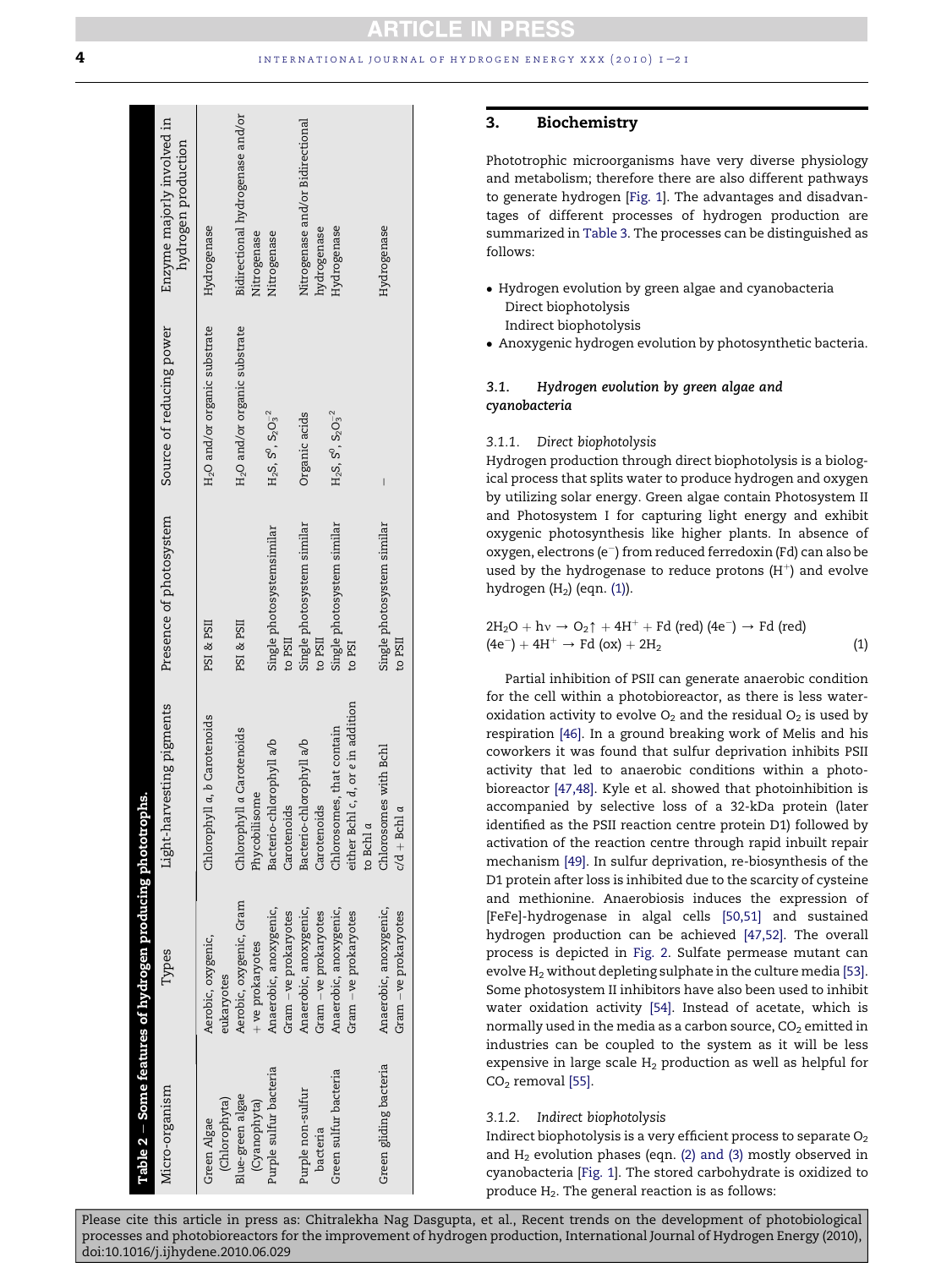<span id="page-3-0"></span>

|                                  | Table 2 $-$ Some features of hydrogen producing phototroph | ត្ត                                                                          |                                       |                                           |                                                   |
|----------------------------------|------------------------------------------------------------|------------------------------------------------------------------------------|---------------------------------------|-------------------------------------------|---------------------------------------------------|
| Micro-organism                   | Types                                                      | Light-harvesting pigments                                                    | Presence of photosystem               | Source of reducing power                  | Enzyme majorly involved in<br>hydrogen production |
| (Chlorophyta)<br>Green Algae     | Aerobic, oxygenic,<br>eukaryotes                           | a, b Carotenoids<br>Chlorophyll                                              | PSI & PSII                            | H <sub>2</sub> O and/or organic substrate | Hydrogenase                                       |
| Blue-green algae<br>(Cyanophyta) | Aerobic, oxygenic, Gram<br>+ ve prokaryotes                | a Carotenoids<br>Phycobilisome<br>Chlorophyll                                | PSI & PSII                            | H <sub>2</sub> O and/or organic substrate | Bidirectional hydrogenase and/or<br>Nitrogenase   |
| Purple sulfur bacteria           | Anaerobic, anoxygenic,<br>Gram -ve prokaryotes             | Bacterio-chlorophyll a/b<br>Carotenoids                                      | Single photosystemsimilar<br>to PSII  | $H_2S, S^0, S_2O_3^{-2}$                  | Nitrogenase                                       |
| Purple non-sulfur<br>bacteria    | Anaerobic, anoxygenic,<br>Gram -ve prokaryotes             | Bacterio-chlorophyll a/b<br>Carotenoids                                      | Single photosystem similar<br>to PSII | Organic acids                             | Nitrogenase and/or Bidirectional<br>hydrogenase   |
| Green sulfur bacteria            | Anaerobic, anoxygenic,<br>Gram -ve prokaryotes             | either Bchl c, d, or e in addition<br>Chlorosomes, that contain<br>to Bchl a | Single photosystem similar<br>to PSI  | $H_2S, S^0, S_2O_3^{-2}$                  | Hydrogenase                                       |
| Green gliding bacteria           | Anaerobic, anoxygenic,<br>Gram -ve prokaryotes             | Chlorosomes with Bchl<br>$c/d + Bchl a$                                      | Single photosystem similar<br>to PSII | I                                         | Hydrogenase                                       |
|                                  |                                                            |                                                                              |                                       |                                           |                                                   |

## 3. Biochemistry

Phototrophic microorganisms have very diverse physiology and metabolism; therefore there are also different pathways to generate hydrogen [[Fig. 1\]](#page-4-0). The advantages and disadvantages of different processes of hydrogen production are summarized in [Table 3.](#page-5-0) The processes can be distinguished as follows:

- Hydrogen evolution by green algae and cyanobacteria Direct biophotolysis Indirect biophotolysis
- Anoxygenic hydrogen evolution by photosynthetic bacteria.

## 3.1. Hydrogen evolution by green algae and cyanobacteria

#### 3.1.1. Direct biophotolysis

Hydrogen production through direct biophotolysis is a biological process that splits water to produce hydrogen and oxygen by utilizing solar energy. Green algae contain Photosystem II and Photosystem I for capturing light energy and exhibit oxygenic photosynthesis like higher plants. In absence of oxygen, electrons ( $e^-$ ) from reduced ferredoxin (Fd) can also be used by the hydrogenase to reduce protons  $(H^+)$  and evolve hydrogen  $(H<sub>2</sub>)$  (eqn. (1)).

$$
2H_2O + hv \to O_2\uparrow + 4H^+ + Fd \text{ (red) (4e^-)} \to Fd \text{ (red)}
$$
  

$$
(4e^-) + 4H^+ \to Fd \text{ (ox)} + 2H_2 \tag{1}
$$

Partial inhibition of PSII can generate anaerobic condition for the cell within a photobioreactor, as there is less wateroxidation activity to evolve  $O_2$  and the residual  $O_2$  is used by respiration [\[46\].](#page-17-0) In a ground breaking work of Melis and his coworkers it was found that sulfur deprivation inhibits PSII activity that led to anaerobic conditions within a photobioreactor [\[47,48\].](#page-17-0) Kyle et al. showed that photoinhibition is accompanied by selective loss of a 32-kDa protein (later identified as the PSII reaction centre protein D1) followed by activation of the reaction centre through rapid inbuilt repair mechanism [\[49\].](#page-17-0) In sulfur deprivation, re-biosynthesis of the D1 protein after loss is inhibited due to the scarcity of cysteine and methionine. Anaerobiosis induces the expression of [FeFe]-hydrogenase in algal cells [\[50,51\]](#page-18-0) and sustained hydrogen production can be achieved [\[47,52\]](#page-17-0). The overall process is depicted in [Fig. 2.](#page-6-0) Sulfate permease mutant can evolve  $H_2$  without depleting sulphate in the culture media [\[53\]](#page-18-0). Some photosystem II inhibitors have also been used to inhibit water oxidation activity [\[54\]](#page-18-0). Instead of acetate, which is normally used in the media as a carbon source,  $CO<sub>2</sub>$  emitted in industries can be coupled to the system as it will be less expensive in large scale  $H_2$  production as well as helpful for  $CO<sub>2</sub>$  removal [\[55\].](#page-18-0)

## 3.1.2. Indirect biophotolysis

Indirect biophotolysis is a very efficient process to separate  $O<sub>2</sub>$ and  $H_2$  evolution phases (eqn. [\(2\) and \(3\)](#page-4-0) mostly observed in cyanobacteria [[Fig. 1](#page-4-0)]. The stored carbohydrate is oxidized to produce  $H_2$ . The general reaction is as follows: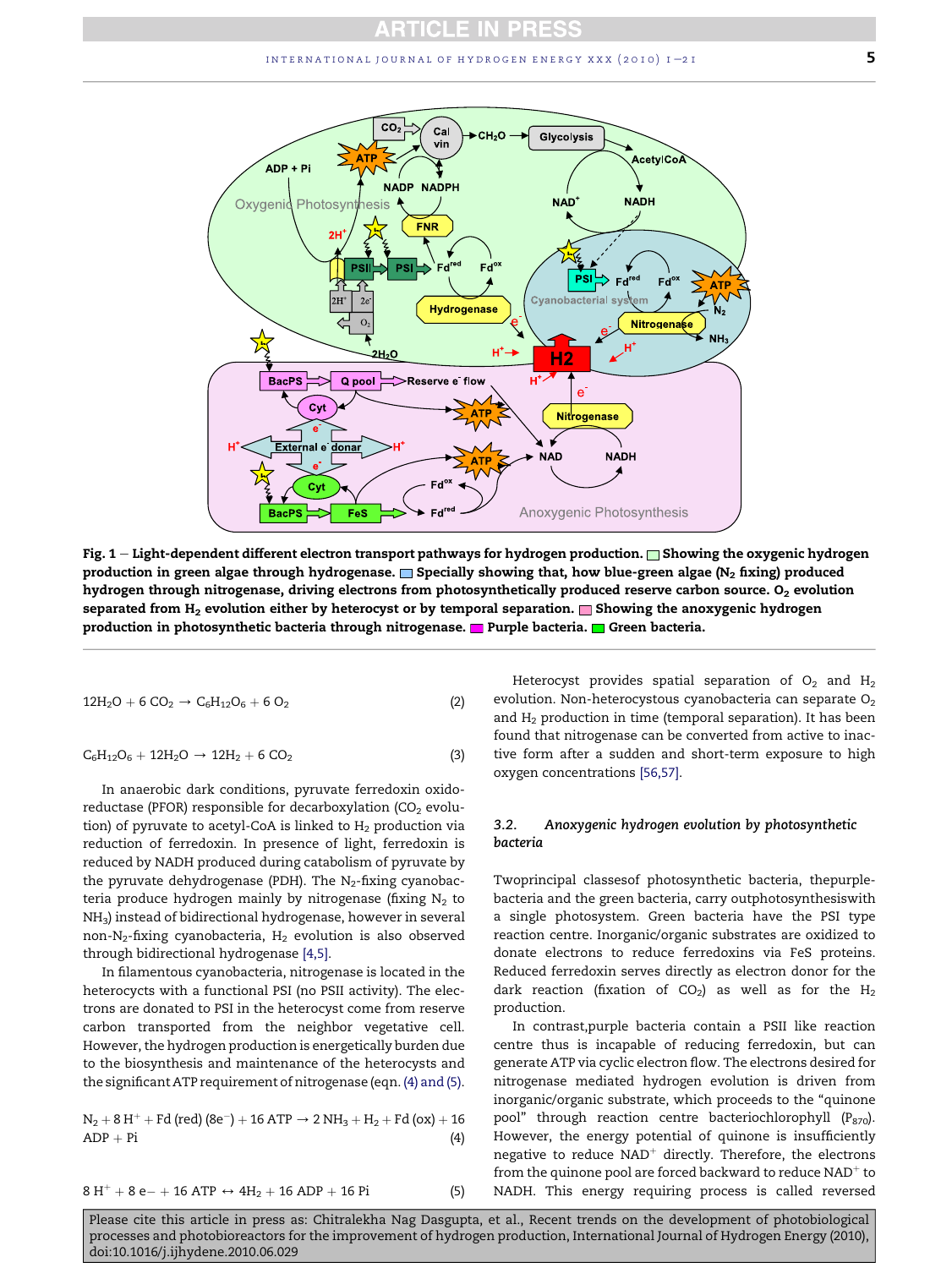## **RTICLE IN PRES**

#### INTERNATIONAL JOURNAL OF HYDROGEN ENERGY XXX (2010)  $1-21$  5

<span id="page-4-0"></span>

Fig.  $1 -$  Light-dependent different electron transport pathways for hydrogen production. Showing the oxygenic hydrogen production in green algae through hydrogenase.  $\Box$  Specially showing that, how blue-green algae (N<sub>2</sub> fixing) produced hydrogen through nitrogenase, driving electrons from photosynthetically produced reserve carbon source.  $O_2$  evolution separated from  $H_2$  evolution either by heterocyst or by temporal separation.  $\Box$  Showing the anoxygenic hydrogen production in photosynthetic bacteria through nitrogenase. Purple bacteria. Puren bacteria.

$$
12H_2O + 6 CO_2 \rightarrow C_6H_{12}O_6 + 6 O_2
$$
 (2)

$$
C_6H_{12}O_6 + 12H_2O \rightarrow 12H_2 + 6 CO_2
$$
 (3)

In anaerobic dark conditions, pyruvate ferredoxin oxidoreductase (PFOR) responsible for decarboxylation  $(CO<sub>2</sub>$  evolution) of pyruvate to acetyl-CoA is linked to  $H_2$  production via reduction of ferredoxin. In presence of light, ferredoxin is reduced by NADH produced during catabolism of pyruvate by the pyruvate dehydrogenase (PDH). The  $N_2$ -fixing cyanobacteria produce hydrogen mainly by nitrogenase (fixing  $N_2$  to NH3) instead of bidirectional hydrogenase, however in several non-N<sub>2</sub>-fixing cyanobacteria,  $H_2$  evolution is also observed through bidirectional hydrogenase [\[4,5\]](#page-16-0).

In filamentous cyanobacteria, nitrogenase is located in the heterocycts with a functional PSI (no PSII activity). The electrons are donated to PSI in the heterocyst come from reserve carbon transported from the neighbor vegetative cell. However, the hydrogen production is energetically burden due to the biosynthesis and maintenance of the heterocysts and the significant ATP requirement of nitrogenase (eqn. (4) and (5).

 $N_2 + 8 H^+ + Fd$  (red) (8e<sup>-</sup>) + 16 ATP  $\rightarrow$  2 NH<sub>3</sub> + H<sub>2</sub> + Fd (ox) + 16<br>ADP + Pi (4)  $ADP + Pi$  (4)

$$
8 H^+ + 8 e^- + 16 ATP \leftrightarrow 4H_2 + 16 ADP + 16 Pi
$$
 (5)

Heterocyst provides spatial separation of  $O<sub>2</sub>$  and  $H<sub>2</sub>$ evolution. Non-heterocystous cyanobacteria can separate  $O<sub>2</sub>$ and  $H_2$  production in time (temporal separation). It has been found that nitrogenase can be converted from active to inactive form after a sudden and short-term exposure to high oxygen concentrations [\[56,57\]](#page-18-0).

## 3.2. Anoxygenic hydrogen evolution by photosynthetic bacteria

Twoprincipal classesof photosynthetic bacteria, thepurplebacteria and the green bacteria, carry outphotosynthesiswith a single photosystem. Green bacteria have the PSI type reaction centre. Inorganic/organic substrates are oxidized to donate electrons to reduce ferredoxins via FeS proteins. Reduced ferredoxin serves directly as electron donor for the dark reaction (fixation of CO<sub>2</sub>) as well as for the  $H_2$ production.

In contrast,purple bacteria contain a PSII like reaction centre thus is incapable of reducing ferredoxin, but can generate ATP via cyclic electron flow. The electrons desired for nitrogenase mediated hydrogen evolution is driven from inorganic/organic substrate, which proceeds to the "quinone pool" through reaction centre bacteriochlorophyll (P<sub>870</sub>). However, the energy potential of quinone is insufficiently negative to reduce  $NAD<sup>+</sup>$  directly. Therefore, the electrons from the quinone pool are forced backward to reduce  $NAD<sup>+</sup>$  to NADH. This energy requiring process is called reversed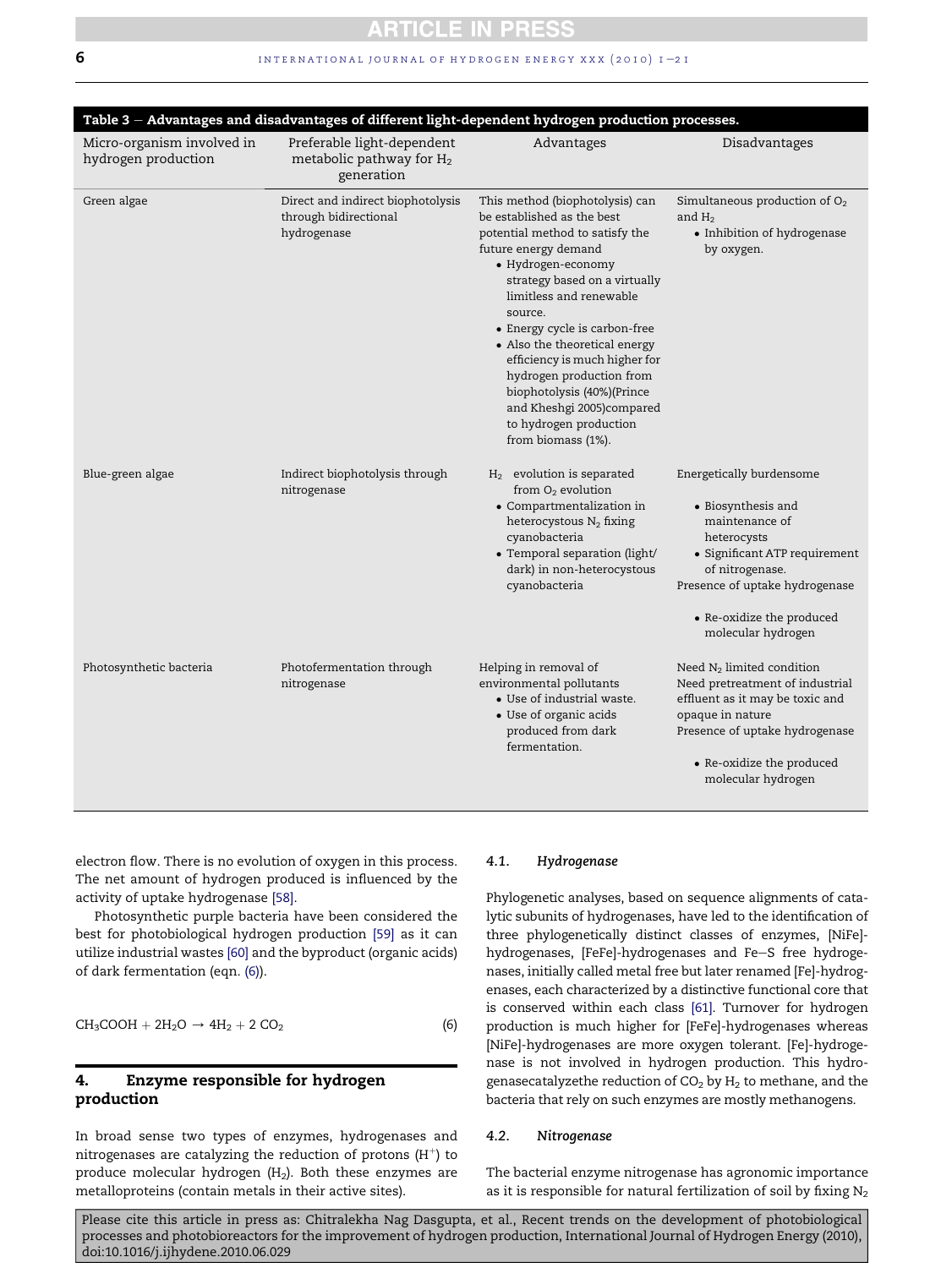## **ARTICLE IN PRES**

#### <span id="page-5-0"></span>6 **6** international journal of hydrogen energy xxx (2010)  $1-21$

|                                                   |                                                                                  | Table 3 – Advantages and disadvantages of different light-dependent hydrogen production processes.                                                                                                                                                                                                                                                                                                                                                              |                                                                                                                                                                                                                                  |
|---------------------------------------------------|----------------------------------------------------------------------------------|-----------------------------------------------------------------------------------------------------------------------------------------------------------------------------------------------------------------------------------------------------------------------------------------------------------------------------------------------------------------------------------------------------------------------------------------------------------------|----------------------------------------------------------------------------------------------------------------------------------------------------------------------------------------------------------------------------------|
| Micro-organism involved in<br>hydrogen production | Preferable light-dependent<br>metabolic pathway for H <sub>2</sub><br>generation | Advantages                                                                                                                                                                                                                                                                                                                                                                                                                                                      | Disadvantages                                                                                                                                                                                                                    |
| Green algae                                       | Direct and indirect biophotolysis<br>through bidirectional<br>hydrogenase        | This method (biophotolysis) can<br>be established as the best<br>potential method to satisfy the<br>future energy demand<br>• Hydrogen-economy<br>strategy based on a virtually<br>limitless and renewable<br>source.<br>• Energy cycle is carbon-free<br>• Also the theoretical energy<br>efficiency is much higher for<br>hydrogen production from<br>biophotolysis (40%)(Prince<br>and Kheshgi 2005)compared<br>to hydrogen production<br>from biomass (1%). | Simultaneous production of $O_2$<br>and $H2$<br>• Inhibition of hydrogenase<br>by oxygen.                                                                                                                                        |
| Blue-green algae                                  | Indirect biophotolysis through<br>nitrogenase                                    | $H_2$ evolution is separated<br>from $O_2$ evolution<br>• Compartmentalization in<br>heterocystous $N_2$ fixing<br>cyanobacteria<br>• Temporal separation (light/<br>dark) in non-heterocystous<br>cyanobacteria                                                                                                                                                                                                                                                | Energetically burdensome<br>$\bullet$ Biosynthesis and<br>maintenance of<br>heterocysts<br>• Significant ATP requirement<br>of nitrogenase.<br>Presence of uptake hydrogenase<br>• Re-oxidize the produced<br>molecular hydrogen |
| Photosynthetic bacteria                           | Photofermentation through<br>nitrogenase                                         | Helping in removal of<br>environmental pollutants<br>· Use of industrial waste.<br>• Use of organic acids<br>produced from dark<br>fermentation.                                                                                                                                                                                                                                                                                                                | Need $N_2$ limited condition<br>Need pretreatment of industrial<br>effluent as it may be toxic and<br>opaque in nature<br>Presence of uptake hydrogenase<br>• Re-oxidize the produced<br>molecular hydrogen                      |

electron flow. There is no evolution of oxygen in this process. The net amount of hydrogen produced is influenced by the activity of uptake hydrogenase [\[58\].](#page-18-0)

Photosynthetic purple bacteria have been considered the best for photobiological hydrogen production [\[59\]](#page-18-0) as it can utilize industrial wastes [\[60\]](#page-18-0) and the byproduct (organic acids) of dark fermentation (eqn. (6)).

$$
CH3COOH + 2H2O \rightarrow 4H2 + 2 CO2
$$
 (6)

## 4. Enzyme responsible for hydrogen production

In broad sense two types of enzymes, hydrogenases and nitrogenases are catalyzing the reduction of protons  $(H^+)$  to produce molecular hydrogen  $(H<sub>2</sub>)$ . Both these enzymes are metalloproteins (contain metals in their active sites).

#### 4.1. Hydrogenase

Phylogenetic analyses, based on sequence alignments of catalytic subunits of hydrogenases, have led to the identification of three phylogenetically distinct classes of enzymes, [NiFe] hydrogenases, [FeFe]-hydrogenases and Fe-S free hydrogenases, initially called metal free but later renamed [Fe]-hydrogenases, each characterized by a distinctive functional core that is conserved within each class [\[61\].](#page-18-0) Turnover for hydrogen production is much higher for [FeFe]-hydrogenases whereas [NiFe]-hydrogenases are more oxygen tolerant. [Fe]-hydrogenase is not involved in hydrogen production. This hydrogenasecatalyzethe reduction of  $CO<sub>2</sub>$  by  $H<sub>2</sub>$  to methane, and the bacteria that rely on such enzymes are mostly methanogens.

#### 4.2. Nitrogenase

The bacterial enzyme nitrogenase has agronomic importance as it is responsible for natural fertilization of soil by fixing  $N_2$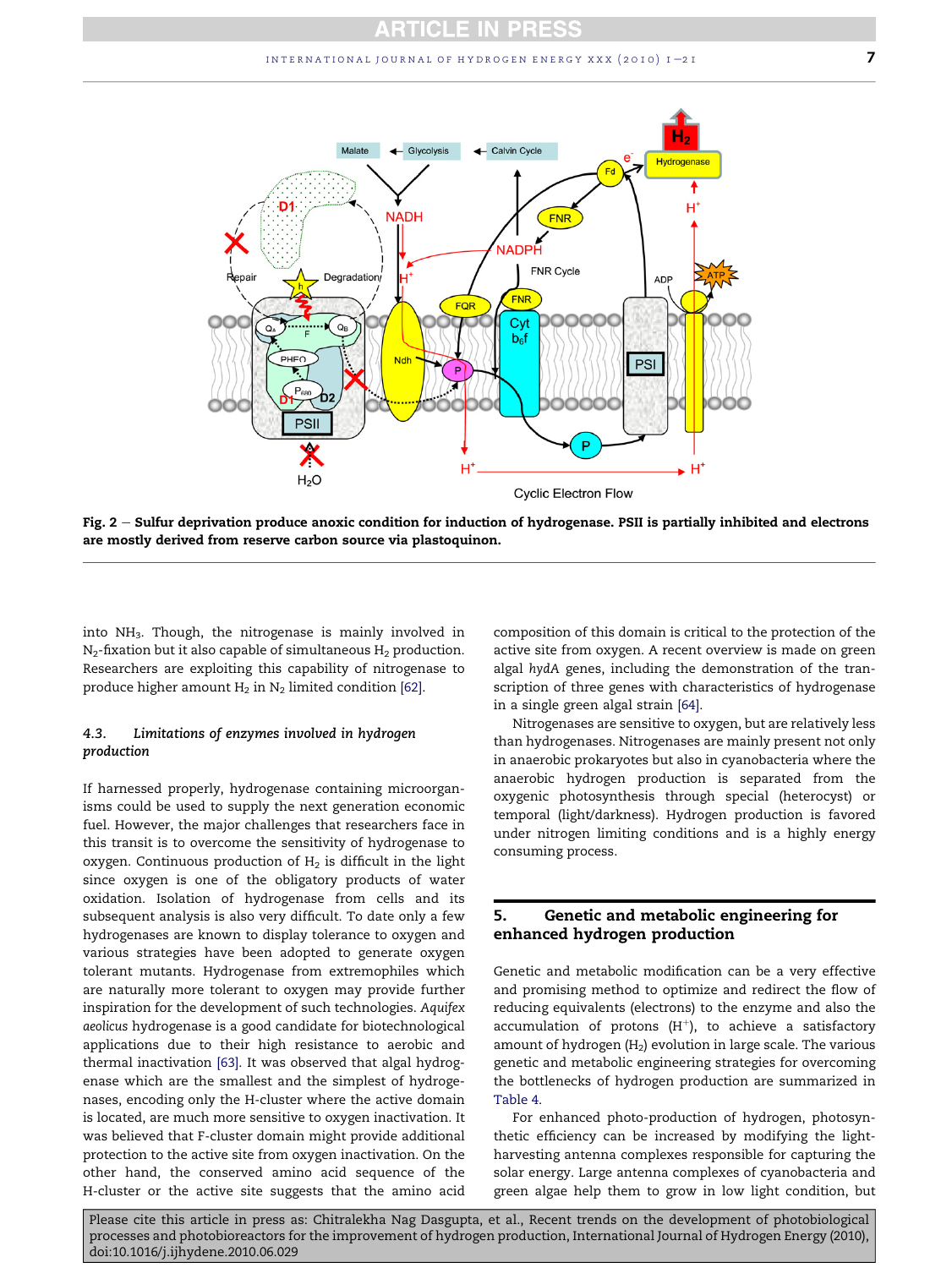## ICLE IN PRES

#### INTERNATIONAL JOURNAL OF HYDROGEN ENERGY XXX (2010)  $1-21$   $\overline{7}$

<span id="page-6-0"></span>

Fig. 2 - Sulfur deprivation produce anoxic condition for induction of hydrogenase. PSII is partially inhibited and electrons are mostly derived from reserve carbon source via plastoquinon.

into NH<sub>3</sub>. Though, the nitrogenase is mainly involved in  $N<sub>2</sub>$ -fixation but it also capable of simultaneous  $H<sub>2</sub>$  production. Researchers are exploiting this capability of nitrogenase to produce higher amount  $H_2$  in  $N_2$  limited condition [\[62\]](#page-18-0).

## 4.3. Limitations of enzymes involved in hydrogen production

If harnessed properly, hydrogenase containing microorganisms could be used to supply the next generation economic fuel. However, the major challenges that researchers face in this transit is to overcome the sensitivity of hydrogenase to oxygen. Continuous production of  $H<sub>2</sub>$  is difficult in the light since oxygen is one of the obligatory products of water oxidation. Isolation of hydrogenase from cells and its subsequent analysis is also very difficult. To date only a few hydrogenases are known to display tolerance to oxygen and various strategies have been adopted to generate oxygen tolerant mutants. Hydrogenase from extremophiles which are naturally more tolerant to oxygen may provide further inspiration for the development of such technologies. Aquifex aeolicus hydrogenase is a good candidate for biotechnological applications due to their high resistance to aerobic and thermal inactivation [\[63\]](#page-18-0). It was observed that algal hydrogenase which are the smallest and the simplest of hydrogenases, encoding only the H-cluster where the active domain is located, are much more sensitive to oxygen inactivation. It was believed that F-cluster domain might provide additional protection to the active site from oxygen inactivation. On the other hand, the conserved amino acid sequence of the H-cluster or the active site suggests that the amino acid

composition of this domain is critical to the protection of the active site from oxygen. A recent overview is made on green algal hydA genes, including the demonstration of the transcription of three genes with characteristics of hydrogenase in a single green algal strain [\[64\].](#page-18-0)

Nitrogenases are sensitive to oxygen, but are relatively less than hydrogenases. Nitrogenases are mainly present not only in anaerobic prokaryotes but also in cyanobacteria where the anaerobic hydrogen production is separated from the oxygenic photosynthesis through special (heterocyst) or temporal (light/darkness). Hydrogen production is favored under nitrogen limiting conditions and is a highly energy consuming process.

## 5. Genetic and metabolic engineering for enhanced hydrogen production

Genetic and metabolic modification can be a very effective and promising method to optimize and redirect the flow of reducing equivalents (electrons) to the enzyme and also the accumulation of protons  $(H<sup>+</sup>)$ , to achieve a satisfactory amount of hydrogen  $(H<sub>2</sub>)$  evolution in large scale. The various genetic and metabolic engineering strategies for overcoming the bottlenecks of hydrogen production are summarized in [Table 4](#page-7-0).

For enhanced photo-production of hydrogen, photosynthetic efficiency can be increased by modifying the lightharvesting antenna complexes responsible for capturing the solar energy. Large antenna complexes of cyanobacteria and green algae help them to grow in low light condition, but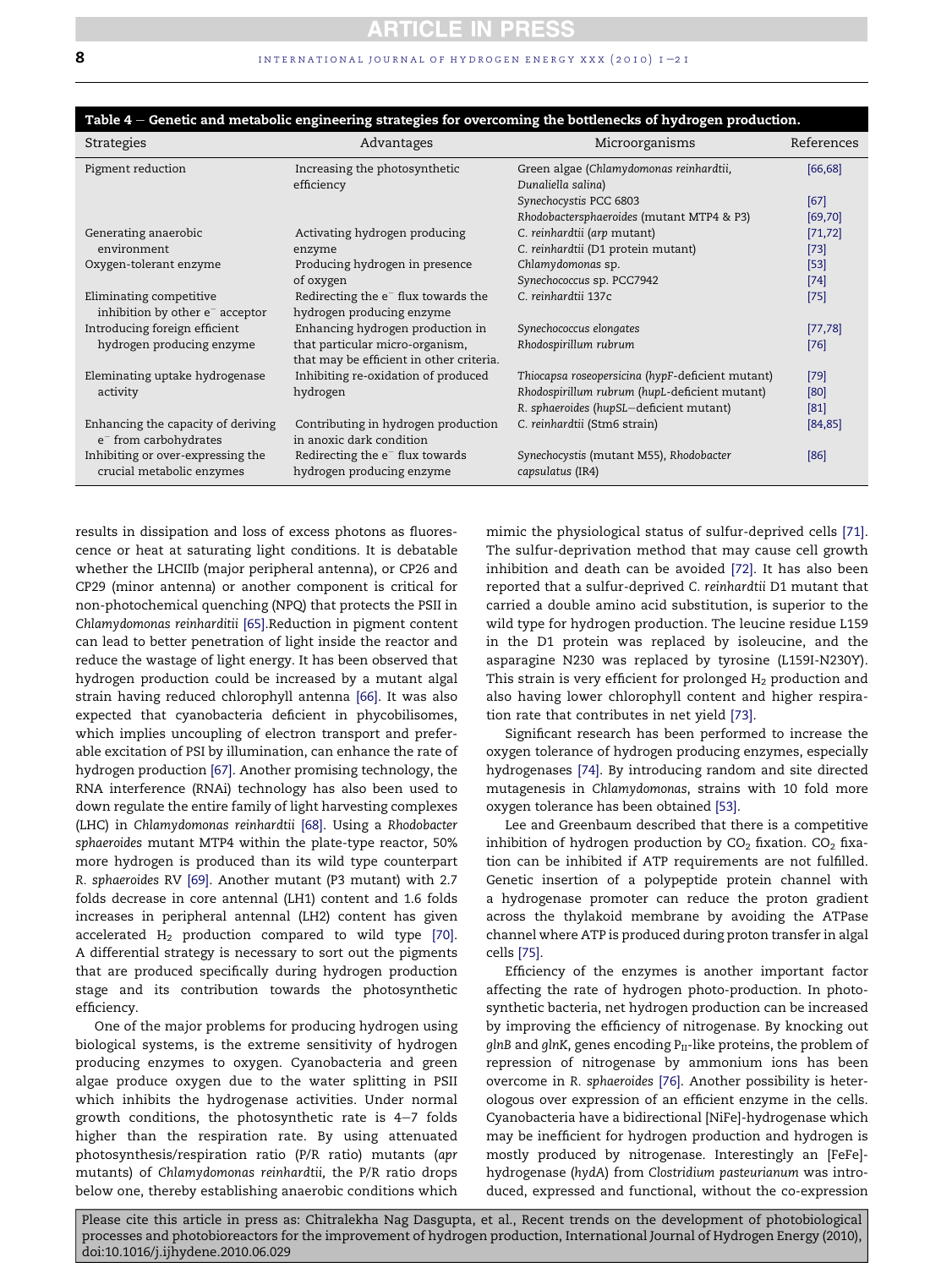#### <span id="page-7-0"></span>8 **8** international journal of hydrogen energy xxx (2010)  $1-21$

| Strategies                                  | Advantages                               | achene and membene engineering buttegleb for overcoming the bottleneemb or hydrogen production.<br>Microorganisms | References |
|---------------------------------------------|------------------------------------------|-------------------------------------------------------------------------------------------------------------------|------------|
|                                             |                                          |                                                                                                                   |            |
| Pigment reduction                           | Increasing the photosynthetic            | Green algae (Chlamydomonas reinhardtii,                                                                           | [66, 68]   |
|                                             | efficiency                               | Dunaliella salina)                                                                                                |            |
|                                             |                                          | Synechocystis PCC 6803                                                                                            | [67]       |
|                                             |                                          | Rhodobactersphaeroides (mutant MTP4 & P3)                                                                         | [69, 70]   |
| Generating anaerobic                        | Activating hydrogen producing            | C. reinhardtii (arp mutant)                                                                                       | [71, 72]   |
| environment                                 | enzyme                                   | C. reinhardtii (D1 protein mutant)                                                                                | $[73]$     |
| Oxygen-tolerant enzyme                      | Producing hydrogen in presence           | Chlamydomonas sp.                                                                                                 | $[53]$     |
|                                             | of oxygen                                | Synechococcus sp. PCC7942                                                                                         | $[74]$     |
| Eliminating competitive                     | Redirecting the $e^-$ flux towards the   | C. reinhardtii 137c                                                                                               | $[75]$     |
| inhibition by other e <sup>-</sup> acceptor | hydrogen producing enzyme                |                                                                                                                   |            |
| Introducing foreign efficient               | Enhancing hydrogen production in         | Synechococcus elongates                                                                                           | [77, 78]   |
| hydrogen producing enzyme                   | that particular micro-organism,          | Rhodospirillum rubrum                                                                                             | $[76]$     |
|                                             | that may be efficient in other criteria. |                                                                                                                   |            |
| Eleminating uptake hydrogenase              | Inhibiting re-oxidation of produced      | Thiocapsa roseopersicina (hypF-deficient mutant)                                                                  | $[79]$     |
| activity                                    | hydrogen                                 | Rhodospirillum rubrum (hupL-deficient mutant)                                                                     | [80]       |
|                                             |                                          | R. sphaeroides (hupSL-deficient mutant)                                                                           | [81]       |
| Enhancing the capacity of deriving          | Contributing in hydrogen production      | C. reinhardtii (Stm6 strain)                                                                                      | [84, 85]   |
| $e^-$ from carbohydrates                    | in anoxic dark condition                 |                                                                                                                   |            |
| Inhibiting or over-expressing the           | Redirecting the $e^-$ flux towards       | Synechocystis (mutant M55), Rhodobacter                                                                           | [86]       |
| crucial metabolic enzymes                   | hydrogen producing enzyme                | capsulatus (IR4)                                                                                                  |            |
|                                             |                                          |                                                                                                                   |            |

#### Table 4  $-$  Genetic and metabolic engineering strategies for overcoming the bottlenecks of hydrogen production.

results in dissipation and loss of excess photons as fluorescence or heat at saturating light conditions. It is debatable whether the LHCIIb (major peripheral antenna), or CP26 and CP29 (minor antenna) or another component is critical for non-photochemical quenching (NPQ) that protects the PSII in Chlamydomonas reinharditii [\[65\].](#page-18-0)Reduction in pigment content can lead to better penetration of light inside the reactor and reduce the wastage of light energy. It has been observed that hydrogen production could be increased by a mutant algal strain having reduced chlorophyll antenna [\[66\].](#page-18-0) It was also expected that cyanobacteria deficient in phycobilisomes, which implies uncoupling of electron transport and preferable excitation of PSI by illumination, can enhance the rate of hydrogen production [\[67\]](#page-18-0). Another promising technology, the RNA interference (RNAi) technology has also been used to down regulate the entire family of light harvesting complexes (LHC) in Chlamydomonas reinhardtii [\[68\]](#page-18-0). Using a Rhodobacter sphaeroides mutant MTP4 within the plate-type reactor, 50% more hydrogen is produced than its wild type counterpart R. sphaeroides RV [\[69\].](#page-18-0) Another mutant (P3 mutant) with 2.7 folds decrease in core antennal (LH1) content and 1.6 folds increases in peripheral antennal (LH2) content has given accelerated  $H_2$  production compared to wild type [\[70\]](#page-18-0). A differential strategy is necessary to sort out the pigments that are produced specifically during hydrogen production stage and its contribution towards the photosynthetic efficiency.

One of the major problems for producing hydrogen using biological systems, is the extreme sensitivity of hydrogen producing enzymes to oxygen. Cyanobacteria and green algae produce oxygen due to the water splitting in PSII which inhibits the hydrogenase activities. Under normal growth conditions, the photosynthetic rate is  $4-7$  folds higher than the respiration rate. By using attenuated photosynthesis/respiration ratio (P/R ratio) mutants (apr mutants) of Chlamydomonas reinhardtii, the P/R ratio drops below one, thereby establishing anaerobic conditions which

mimic the physiological status of sulfur-deprived cells [\[71\]](#page-18-0). The sulfur-deprivation method that may cause cell growth inhibition and death can be avoided [\[72\].](#page-18-0) It has also been reported that a sulfur-deprived C. reinhardtii D1 mutant that carried a double amino acid substitution, is superior to the wild type for hydrogen production. The leucine residue L159 in the D1 protein was replaced by isoleucine, and the asparagine N230 was replaced by tyrosine (L159I-N230Y). This strain is very efficient for prolonged  $H_2$  production and also having lower chlorophyll content and higher respiration rate that contributes in net yield [\[73\]](#page-18-0).

Significant research has been performed to increase the oxygen tolerance of hydrogen producing enzymes, especially hydrogenases [\[74\]](#page-18-0). By introducing random and site directed mutagenesis in Chlamydomonas, strains with 10 fold more oxygen tolerance has been obtained [\[53\]](#page-18-0).

Lee and Greenbaum described that there is a competitive inhibition of hydrogen production by  $CO<sub>2</sub>$  fixation.  $CO<sub>2</sub>$  fixation can be inhibited if ATP requirements are not fulfilled. Genetic insertion of a polypeptide protein channel with a hydrogenase promoter can reduce the proton gradient across the thylakoid membrane by avoiding the ATPase channel where ATP is produced during proton transfer in algal cells [\[75\].](#page-18-0)

Efficiency of the enzymes is another important factor affecting the rate of hydrogen photo-production. In photosynthetic bacteria, net hydrogen production can be increased by improving the efficiency of nitrogenase. By knocking out  $q$ lnB and  $q$ lnK, genes encoding  $P_{II}$ -like proteins, the problem of repression of nitrogenase by ammonium ions has been overcome in R. sphaeroides [\[76\].](#page-18-0) Another possibility is heterologous over expression of an efficient enzyme in the cells. Cyanobacteria have a bidirectional [NiFe]-hydrogenase which may be inefficient for hydrogen production and hydrogen is mostly produced by nitrogenase. Interestingly an [FeFe] hydrogenase (hydA) from Clostridium pasteurianum was introduced, expressed and functional, without the co-expression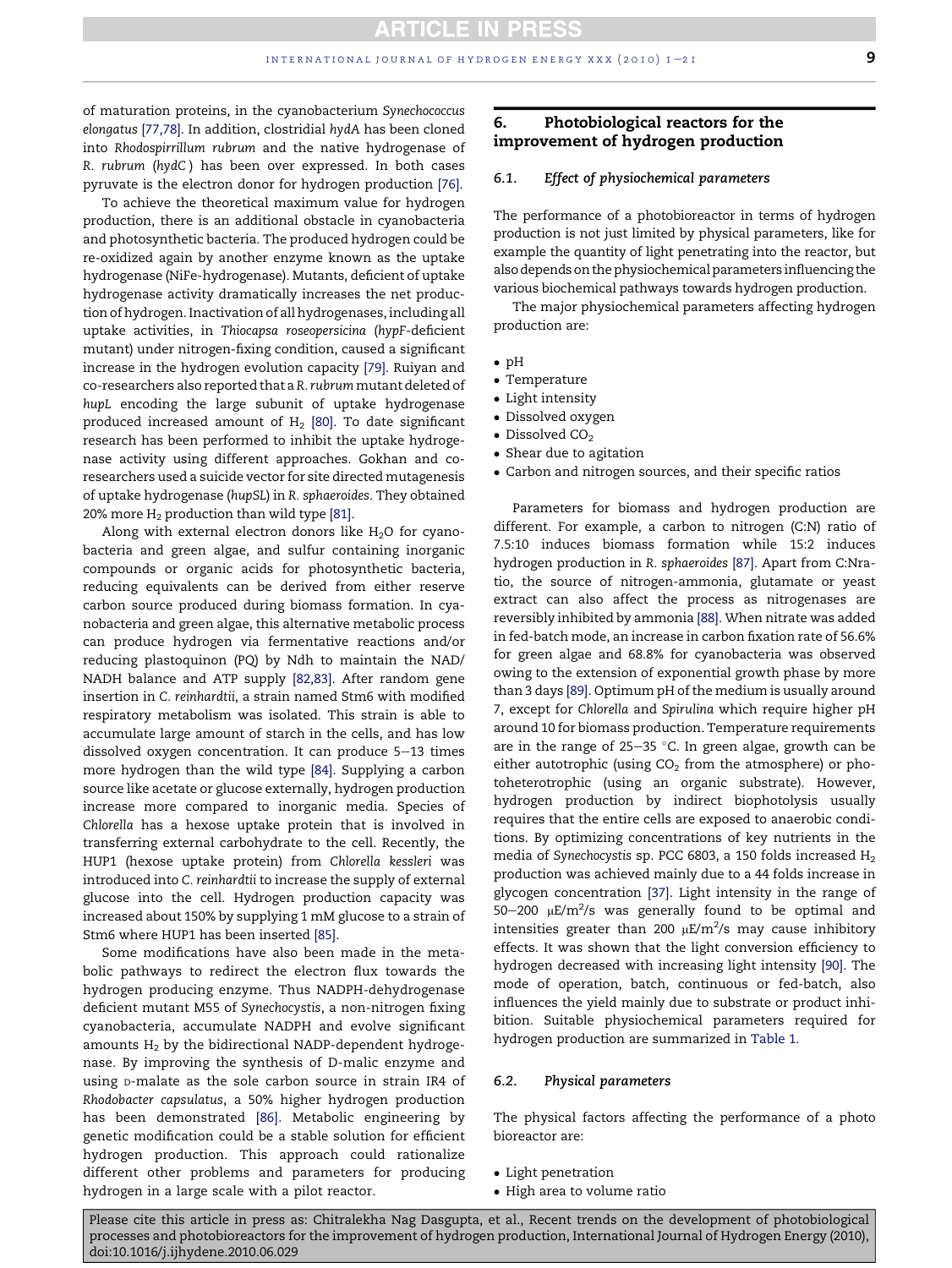of maturation proteins, in the cyanobacterium Synechococcus elongatus [\[77,78\]](#page-18-0). In addition, clostridial hydA has been cloned into Rhodospirrillum rubrum and the native hydrogenase of R. rubrum (hydC ) has been over expressed. In both cases pyruvate is the electron donor for hydrogen production [\[76\].](#page-18-0)

To achieve the theoretical maximum value for hydrogen production, there is an additional obstacle in cyanobacteria and photosynthetic bacteria. The produced hydrogen could be re-oxidized again by another enzyme known as the uptake hydrogenase (NiFe-hydrogenase). Mutants, deficient of uptake hydrogenase activity dramatically increases the net production of hydrogen. Inactivation of all hydrogenases, including all uptake activities, in Thiocapsa roseopersicina (hypF-deficient mutant) under nitrogen-fixing condition, caused a significant increase in the hydrogen evolution capacity [\[79\]](#page-18-0). Ruiyan and co-researchers also reported that a R. rubrum mutant deleted of hupL encoding the large subunit of uptake hydrogenase produced increased amount of  $H_2$  [\[80\].](#page-18-0) To date significant research has been performed to inhibit the uptake hydrogenase activity using different approaches. Gokhan and coresearchers used a suicide vector for site directed mutagenesis of uptake hydrogenase (hupSL) in R. sphaeroides. They obtained 20% more  $H_2$  production than wild type [\[81\].](#page-18-0)

Along with external electron donors like  $H<sub>2</sub>O$  for cyanobacteria and green algae, and sulfur containing inorganic compounds or organic acids for photosynthetic bacteria, reducing equivalents can be derived from either reserve carbon source produced during biomass formation. In cyanobacteria and green algae, this alternative metabolic process can produce hydrogen via fermentative reactions and/or reducing plastoquinon (PQ) by Ndh to maintain the NAD/ NADH balance and ATP supply [\[82,83\].](#page-18-0) After random gene insertion in C. reinhardtii, a strain named Stm6 with modified respiratory metabolism was isolated. This strain is able to accumulate large amount of starch in the cells, and has low dissolved oxygen concentration. It can produce  $5-13$  times more hydrogen than the wild type [\[84\]](#page-18-0). Supplying a carbon source like acetate or glucose externally, hydrogen production increase more compared to inorganic media. Species of Chlorella has a hexose uptake protein that is involved in transferring external carbohydrate to the cell. Recently, the HUP1 (hexose uptake protein) from Chlorella kessleri was introduced into C. reinhardtii to increase the supply of external glucose into the cell. Hydrogen production capacity was increased about 150% by supplying 1 mM glucose to a strain of Stm6 where HUP1 has been inserted [\[85\]](#page-18-0).

Some modifications have also been made in the metabolic pathways to redirect the electron flux towards the hydrogen producing enzyme. Thus NADPH-dehydrogenase deficient mutant M55 of Synechocystis, a non-nitrogen fixing cyanobacteria, accumulate NADPH and evolve significant amounts  $H_2$  by the bidirectional NADP-dependent hydrogenase. By improving the synthesis of D-malic enzyme and using D-malate as the sole carbon source in strain IR4 of Rhodobacter capsulatus, a 50% higher hydrogen production has been demonstrated [\[86\]](#page-19-0). Metabolic engineering by genetic modification could be a stable solution for efficient hydrogen production. This approach could rationalize different other problems and parameters for producing hydrogen in a large scale with a pilot reactor.

## 6. Photobiological reactors for the improvement of hydrogen production

### 6.1. Effect of physiochemical parameters

The performance of a photobioreactor in terms of hydrogen production is not just limited by physical parameters, like for example the quantity of light penetrating into the reactor, but also depends on the physiochemical parameters influencing the various biochemical pathways towards hydrogen production.

The major physiochemical parameters affecting hydrogen production are:

- $\bullet$  pH
- Temperature
- Light intensity
- Dissolved oxygen
- $\bullet$  Dissolved CO<sub>2</sub>
- Shear due to agitation
- Carbon and nitrogen sources, and their specific ratios

Parameters for biomass and hydrogen production are different. For example, a carbon to nitrogen (C:N) ratio of 7.5:10 induces biomass formation while 15:2 induces hydrogen production in R. sphaeroides [\[87\]](#page-19-0). Apart from C:Nratio, the source of nitrogen-ammonia, glutamate or yeast extract can also affect the process as nitrogenases are reversibly inhibited by ammonia [\[88\].](#page-19-0) When nitrate was added in fed-batch mode, an increase in carbon fixation rate of 56.6% for green algae and 68.8% for cyanobacteria was observed owing to the extension of exponential growth phase by more than 3 days [\[89\]](#page-19-0). Optimum pH of the medium is usually around 7, except for Chlorella and Spirulina which require higher pH around 10 for biomass production. Temperature requirements are in the range of 25–35 °C. In green algae, growth can be either autotrophic (using  $CO<sub>2</sub>$  from the atmosphere) or photoheterotrophic (using an organic substrate). However, hydrogen production by indirect biophotolysis usually requires that the entire cells are exposed to anaerobic conditions. By optimizing concentrations of key nutrients in the media of Synechocystis sp. PCC 6803, a 150 folds increased H<sub>2</sub> production was achieved mainly due to a 44 folds increase in glycogen concentration [\[37\]](#page-17-0). Light intensity in the range of 50-200  $\mu$ E/m<sup>2</sup>/s was generally found to be optimal and intensities greater than 200  $\mu$ E/m $^2$ /s may cause inhibitory effects. It was shown that the light conversion efficiency to hydrogen decreased with increasing light intensity [\[90\].](#page-19-0) The mode of operation, batch, continuous or fed-batch, also influences the yield mainly due to substrate or product inhibition. Suitable physiochemical parameters required for hydrogen production are summarized in [Table 1](#page-2-0).

#### 6.2. Physical parameters

The physical factors affecting the performance of a photo bioreactor are:

- Light penetration
- High area to volume ratio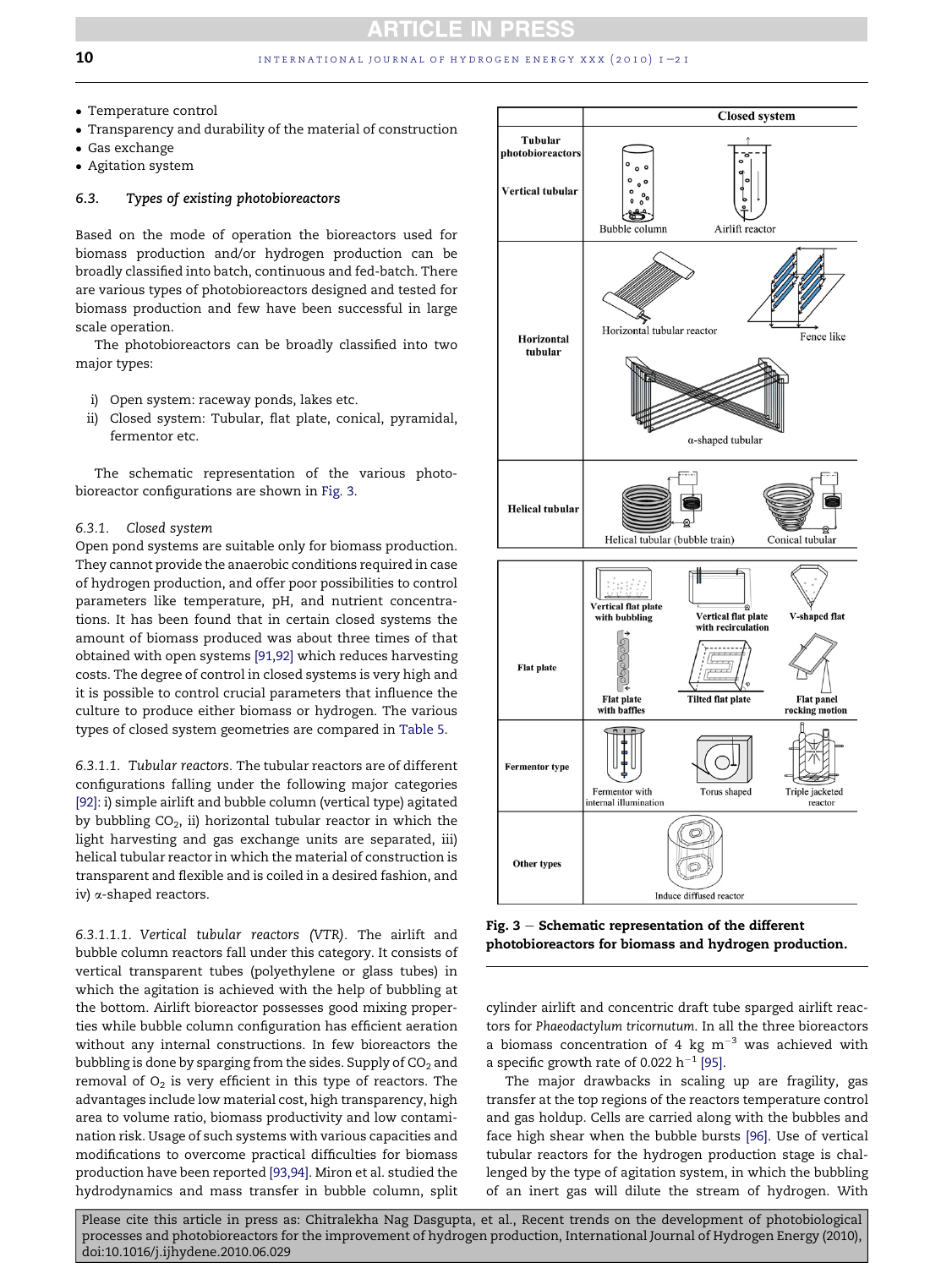- Temperature control
- Transparency and durability of the material of construction
- Gas exchange
- Agitation system

## 6.3. Types of existing photobioreactors

Based on the mode of operation the bioreactors used for biomass production and/or hydrogen production can be broadly classified into batch, continuous and fed-batch. There are various types of photobioreactors designed and tested for biomass production and few have been successful in large scale operation.

The photobioreactors can be broadly classified into two major types:

- i) Open system: raceway ponds, lakes etc.
- ii) Closed system: Tubular, flat plate, conical, pyramidal, fermentor etc.

The schematic representation of the various photobioreactor configurations are shown in Fig. 3.

## 6.3.1. Closed system

Open pond systems are suitable only for biomass production. They cannot provide the anaerobic conditions required in case of hydrogen production, and offer poor possibilities to control parameters like temperature, pH, and nutrient concentrations. It has been found that in certain closed systems the amount of biomass produced was about three times of that obtained with open systems [\[91,92\]](#page-19-0) which reduces harvesting costs. The degree of control in closed systems is very high and it is possible to control crucial parameters that influence the culture to produce either biomass or hydrogen. The various types of closed system geometries are compared in [Table 5](#page-11-0).

6.3.1.1. Tubular reactors. The tubular reactors are of different configurations falling under the following major categories [\[92\]](#page-19-0): i) simple airlift and bubble column (vertical type) agitated by bubbling  $CO<sub>2</sub>$ , ii) horizontal tubular reactor in which the light harvesting and gas exchange units are separated, iii) helical tubular reactor in which the material of construction is transparent and flexible and is coiled in a desired fashion, and iv) a-shaped reactors.

6.3.1.1.1. Vertical tubular reactors (VTR). The airlift and bubble column reactors fall under this category. It consists of vertical transparent tubes (polyethylene or glass tubes) in which the agitation is achieved with the help of bubbling at the bottom. Airlift bioreactor possesses good mixing properties while bubble column configuration has efficient aeration without any internal constructions. In few bioreactors the bubbling is done by sparging from the sides. Supply of  $CO<sub>2</sub>$  and removal of  $O<sub>2</sub>$  is very efficient in this type of reactors. The advantages include low material cost, high transparency, high area to volume ratio, biomass productivity and low contamination risk. Usage of such systems with various capacities and modifications to overcome practical difficulties for biomass production have been reported [\[93,94\]](#page-19-0). Miron et al. studied the hydrodynamics and mass transfer in bubble column, split



Fig.  $3$  – Schematic representation of the different photobioreactors for biomass and hydrogen production.

cylinder airlift and concentric draft tube sparged airlift reactors for Phaeodactylum tricornutum. In all the three bioreactors a biomass concentration of 4 kg  $m^{-3}$  was achieved with a specific growth rate of 0.022  $h^{-1}$  [\[95\]](#page-19-0).

The major drawbacks in scaling up are fragility, gas transfer at the top regions of the reactors temperature control and gas holdup. Cells are carried along with the bubbles and face high shear when the bubble bursts [\[96\]](#page-19-0). Use of vertical tubular reactors for the hydrogen production stage is challenged by the type of agitation system, in which the bubbling of an inert gas will dilute the stream of hydrogen. With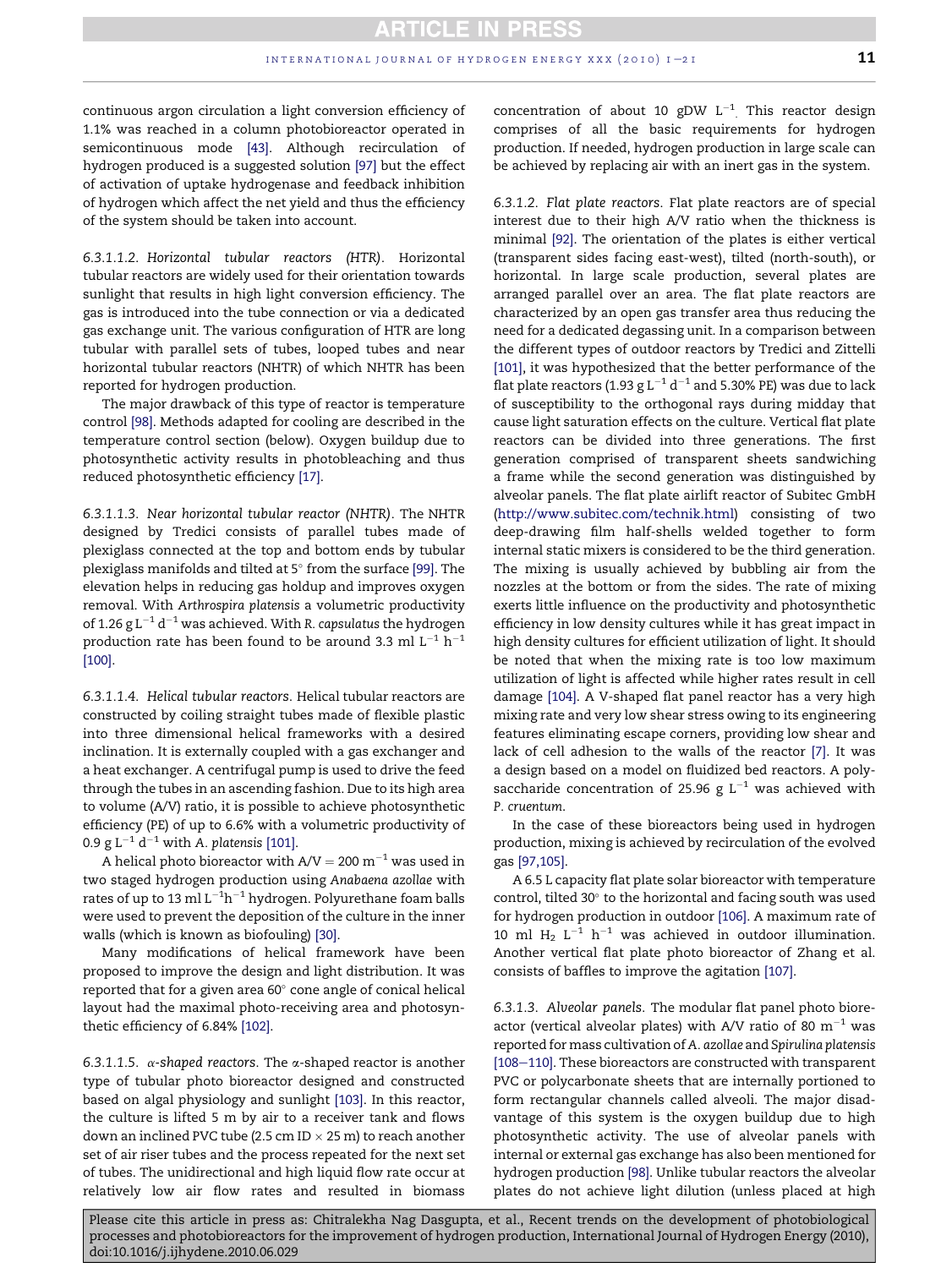continuous argon circulation a light conversion efficiency of 1.1% was reached in a column photobioreactor operated in semicontinuous mode [\[43\]](#page-17-0). Although recirculation of hydrogen produced is a suggested solution [\[97\]](#page-19-0) but the effect of activation of uptake hydrogenase and feedback inhibition of hydrogen which affect the net yield and thus the efficiency of the system should be taken into account.

6.3.1.1.2. Horizontal tubular reactors (HTR). Horizontal tubular reactors are widely used for their orientation towards sunlight that results in high light conversion efficiency. The gas is introduced into the tube connection or via a dedicated gas exchange unit. The various configuration of HTR are long tubular with parallel sets of tubes, looped tubes and near horizontal tubular reactors (NHTR) of which NHTR has been reported for hydrogen production.

The major drawback of this type of reactor is temperature control [\[98\].](#page-19-0) Methods adapted for cooling are described in the temperature control section (below). Oxygen buildup due to photosynthetic activity results in photobleaching and thus reduced photosynthetic efficiency [\[17\].](#page-17-0)

6.3.1.1.3. Near horizontal tubular reactor (NHTR). The NHTR designed by Tredici consists of parallel tubes made of plexiglass connected at the top and bottom ends by tubular plexiglass manifolds and tilted at 5° from the surface [\[99\].](#page-19-0) The elevation helps in reducing gas holdup and improves oxygen removal. With Arthrospira platensis a volumetric productivity of 1.26 g  $L^{-1}$  d<sup>-1</sup> was achieved. With R. capsulatus the hydrogen production rate has been found to be around 3.3 ml  $L^{-1}$  h<sup>-1</sup> [\[100\]](#page-19-0).

6.3.1.1.4. Helical tubular reactors. Helical tubular reactors are constructed by coiling straight tubes made of flexible plastic into three dimensional helical frameworks with a desired inclination. It is externally coupled with a gas exchanger and a heat exchanger. A centrifugal pump is used to drive the feed through the tubes in an ascending fashion. Due to its high area to volume (A/V) ratio, it is possible to achieve photosynthetic efficiency (PE) of up to 6.6% with a volumetric productivity of 0.9 g  $L^{-1}$  d<sup>-1</sup> with A. platensis [\[101\].](#page-19-0)

A helical photo bioreactor with  $A/V = 200$  m<sup>-1</sup> was used in two staged hydrogen production using Anabaena azollae with rates of up to 13 ml L $^{-1}\mathrm{h}^{-1}$  hydrogen. Polyurethane foam balls were used to prevent the deposition of the culture in the inner walls (which is known as biofouling) [\[30\].](#page-17-0)

Many modifications of helical framework have been proposed to improve the design and light distribution. It was reported that for a given area 60 $^{\circ}$  cone angle of conical helical layout had the maximal photo-receiving area and photosynthetic efficiency of 6.84% [\[102\]](#page-19-0).

6.3.1.1.5.  $\alpha$ -shaped reactors. The  $\alpha$ -shaped reactor is another type of tubular photo bioreactor designed and constructed based on algal physiology and sunlight [\[103\]](#page-19-0). In this reactor, the culture is lifted 5 m by air to a receiver tank and flows down an inclined PVC tube (2.5 cm ID  $\times$  25 m) to reach another set of air riser tubes and the process repeated for the next set of tubes. The unidirectional and high liquid flow rate occur at relatively low air flow rates and resulted in biomass

concentration of about 10 gDW  $L^{-1}$ . This reactor design comprises of all the basic requirements for hydrogen production. If needed, hydrogen production in large scale can be achieved by replacing air with an inert gas in the system.

6.3.1.2. Flat plate reactors. Flat plate reactors are of special interest due to their high A/V ratio when the thickness is minimal [\[92\]](#page-19-0). The orientation of the plates is either vertical (transparent sides facing east-west), tilted (north-south), or horizontal. In large scale production, several plates are arranged parallel over an area. The flat plate reactors are characterized by an open gas transfer area thus reducing the need for a dedicated degassing unit. In a comparison between the different types of outdoor reactors by Tredici and Zittelli [\[101\]](#page-19-0), it was hypothesized that the better performance of the flat plate reactors (1.93 g  $L^{-1}$  d<sup>-1</sup> and 5.30% PE) was due to lack of susceptibility to the orthogonal rays during midday that cause light saturation effects on the culture. Vertical flat plate reactors can be divided into three generations. The first generation comprised of transparent sheets sandwiching a frame while the second generation was distinguished by alveolar panels. The flat plate airlift reactor of Subitec GmbH [\(http://www.subitec.com/technik.html](http://www.subitec.com/technik.html)) consisting of two deep-drawing film half-shells welded together to form internal static mixers is considered to be the third generation. The mixing is usually achieved by bubbling air from the nozzles at the bottom or from the sides. The rate of mixing exerts little influence on the productivity and photosynthetic efficiency in low density cultures while it has great impact in high density cultures for efficient utilization of light. It should be noted that when the mixing rate is too low maximum utilization of light is affected while higher rates result in cell damage [\[104\].](#page-19-0) A V-shaped flat panel reactor has a very high mixing rate and very low shear stress owing to its engineering features eliminating escape corners, providing low shear and lack of cell adhesion to the walls of the reactor [\[7\]](#page-16-0). It was a design based on a model on fluidized bed reactors. A polysaccharide concentration of 25.96 g  $L^{-1}$  was achieved with P. cruentum.

In the case of these bioreactors being used in hydrogen production, mixing is achieved by recirculation of the evolved gas [\[97,105\]](#page-19-0).

A 6.5 L capacity flat plate solar bioreactor with temperature control, tilted 30 $^{\circ}$  to the horizontal and facing south was used for hydrogen production in outdoor [\[106\]](#page-19-0). A maximum rate of 10 ml H<sub>2</sub> L<sup>-1</sup> h<sup>-1</sup> was achieved in outdoor illumination. Another vertical flat plate photo bioreactor of Zhang et al. consists of baffles to improve the agitation [\[107\]](#page-19-0).

6.3.1.3. Alveolar panels. The modular flat panel photo bioreactor (vertical alveolar plates) with A/V ratio of 80  $\mathrm{m}^{-1}$  was reported for mass cultivation of A. azollae and Spirulina platensis [\[108](#page-19-0)-[110\]](#page-19-0). These bioreactors are constructed with transparent PVC or polycarbonate sheets that are internally portioned to form rectangular channels called alveoli. The major disadvantage of this system is the oxygen buildup due to high photosynthetic activity. The use of alveolar panels with internal or external gas exchange has also been mentioned for hydrogen production [\[98\]](#page-19-0). Unlike tubular reactors the alveolar plates do not achieve light dilution (unless placed at high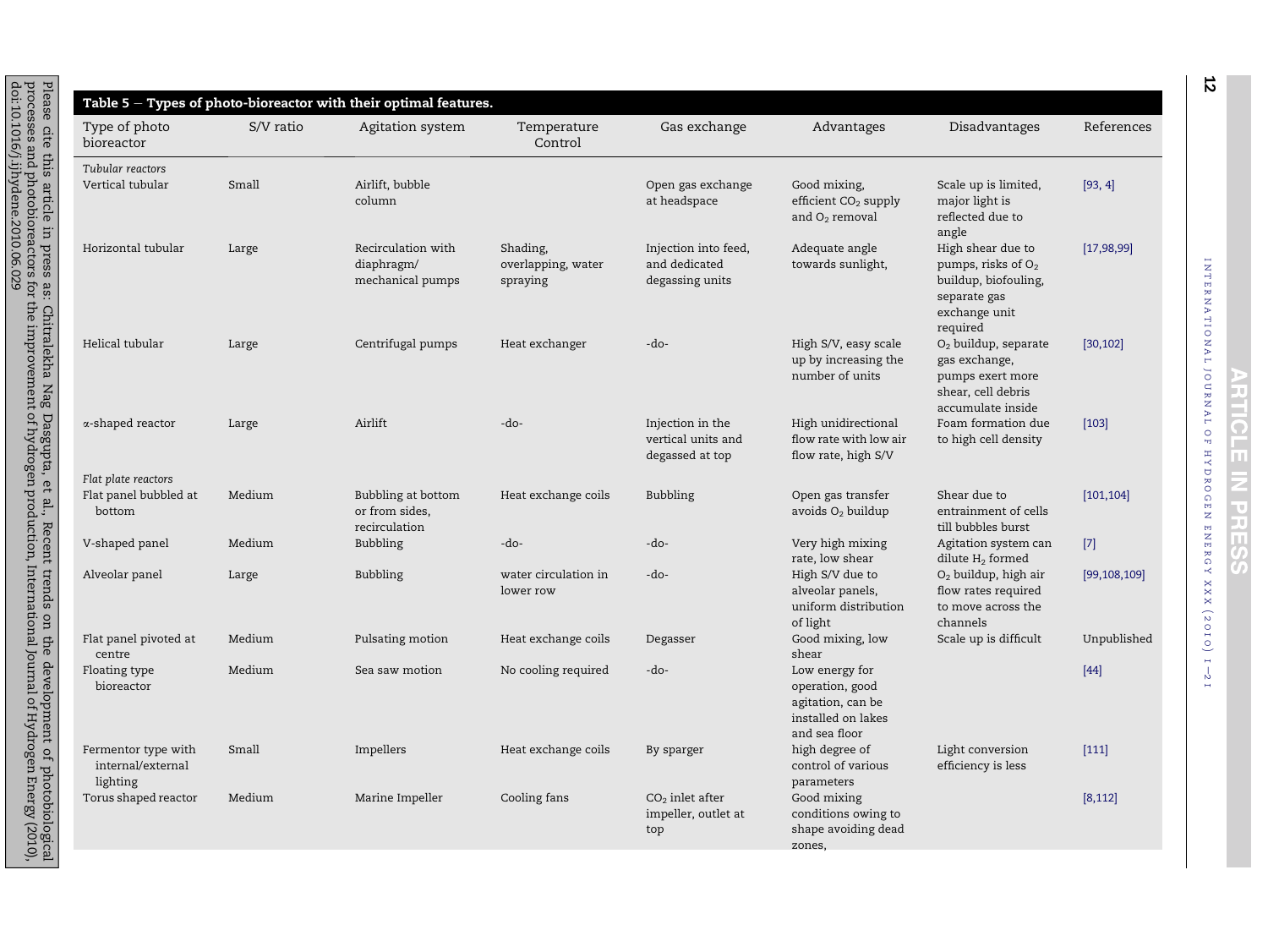<span id="page-11-0"></span>

| Type of photo<br>bioreactor                            | S/V ratio | Agitation system                                      | Temperature<br>Control                     | Gas exchange                                              | Advantages                                                                                    | Disadvantages                                                                                                  | References     |
|--------------------------------------------------------|-----------|-------------------------------------------------------|--------------------------------------------|-----------------------------------------------------------|-----------------------------------------------------------------------------------------------|----------------------------------------------------------------------------------------------------------------|----------------|
| Tubular reactors<br>Vertical tubular                   | Small     | Airlift, bubble<br>column                             |                                            | Open gas exchange<br>at headspace                         | Good mixing,<br>efficient CO <sub>2</sub> supply<br>and $O2$ removal                          | Scale up is limited,<br>major light is<br>reflected due to<br>angle                                            | [93, 4]        |
| Horizontal tubular                                     | Large     | Recirculation with<br>diaphragm/<br>mechanical pumps  | Shading,<br>overlapping, water<br>spraying | Injection into feed,<br>and dedicated<br>degassing units  | Adequate angle<br>towards sunlight,                                                           | High shear due to<br>pumps, risks of $O2$<br>buildup, biofouling,<br>separate gas<br>exchange unit<br>required | [17, 98, 99]   |
| Helical tubular                                        | Large     | Centrifugal pumps                                     | Heat exchanger                             | -do-                                                      | High S/V, easy scale<br>up by increasing the<br>number of units                               | $O2$ buildup, separate<br>gas exchange,<br>pumps exert more<br>shear, cell debris<br>accumulate inside         | [30, 102]      |
| a-shaped reactor                                       | Large     | Airlift                                               | $-do-$                                     | Injection in the<br>vertical units and<br>degassed at top | High unidirectional<br>flow rate with low air<br>flow rate, high S/V                          | Foam formation due<br>to high cell density                                                                     | $[103]$        |
| Flat plate reactors<br>Flat panel bubbled at<br>bottom | Medium    | Bubbling at bottom<br>or from sides,<br>recirculation | Heat exchange coils                        | Bubbling                                                  | Open gas transfer<br>avoids $O2$ buildup                                                      | Shear due to<br>entrainment of cells<br>till bubbles burst                                                     | [101, 104]     |
| V-shaped panel                                         | Medium    | Bubbling                                              | -do-                                       | $-do-$                                                    | Very high mixing<br>rate, low shear                                                           | Agitation system can<br>dilute $H_2$ formed                                                                    | $[7]$          |
| Alveolar panel                                         | Large     | Bubbling                                              | water circulation in<br>lower row          | -do-                                                      | High S/V due to<br>alveolar panels,<br>uniform distribution<br>of light                       | $O2$ buildup, high air<br>flow rates required<br>to move across the<br>channels                                | [99, 108, 109] |
| Flat panel pivoted at<br>centre                        | Medium    | Pulsating motion                                      | Heat exchange coils                        | Degasser                                                  | Good mixing, low<br>shear                                                                     | Scale up is difficult                                                                                          | Unpublished    |
| Floating type<br>bioreactor                            | Medium    | Sea saw motion                                        | No cooling required                        | -do-                                                      | Low energy for<br>operation, good<br>agitation, can be<br>installed on lakes<br>and sea floor |                                                                                                                | $[44]$         |
| Fermentor type with<br>internal/external<br>lighting   | Small     | Impellers                                             | Heat exchange coils                        | By sparger                                                | high degree of<br>control of various<br>parameters                                            | Light conversion<br>efficiency is less                                                                         | [111]          |
| Torus shaped reactor                                   | Medium    | Marine Impeller                                       | Cooling fans                               | $CO2$ inlet after<br>impeller, outlet at<br>top           | Good mixing<br>conditions owing to<br>shape avoiding dead<br>zones,                           |                                                                                                                | [8, 112]       |

e[2 1](http://dx.doi.org/10.1016/j.ijhydene.2010.06.029) 12 INTERNATIONAL JOURNAL OF HYDROGEN ENERGY XXX (2010) I-21 [international journal of hydrogen energy xxx \(2010\) 1](http://dx.doi.org/10.1016/j.ijhydene.2010.06.029) ARTICLE IN PRESS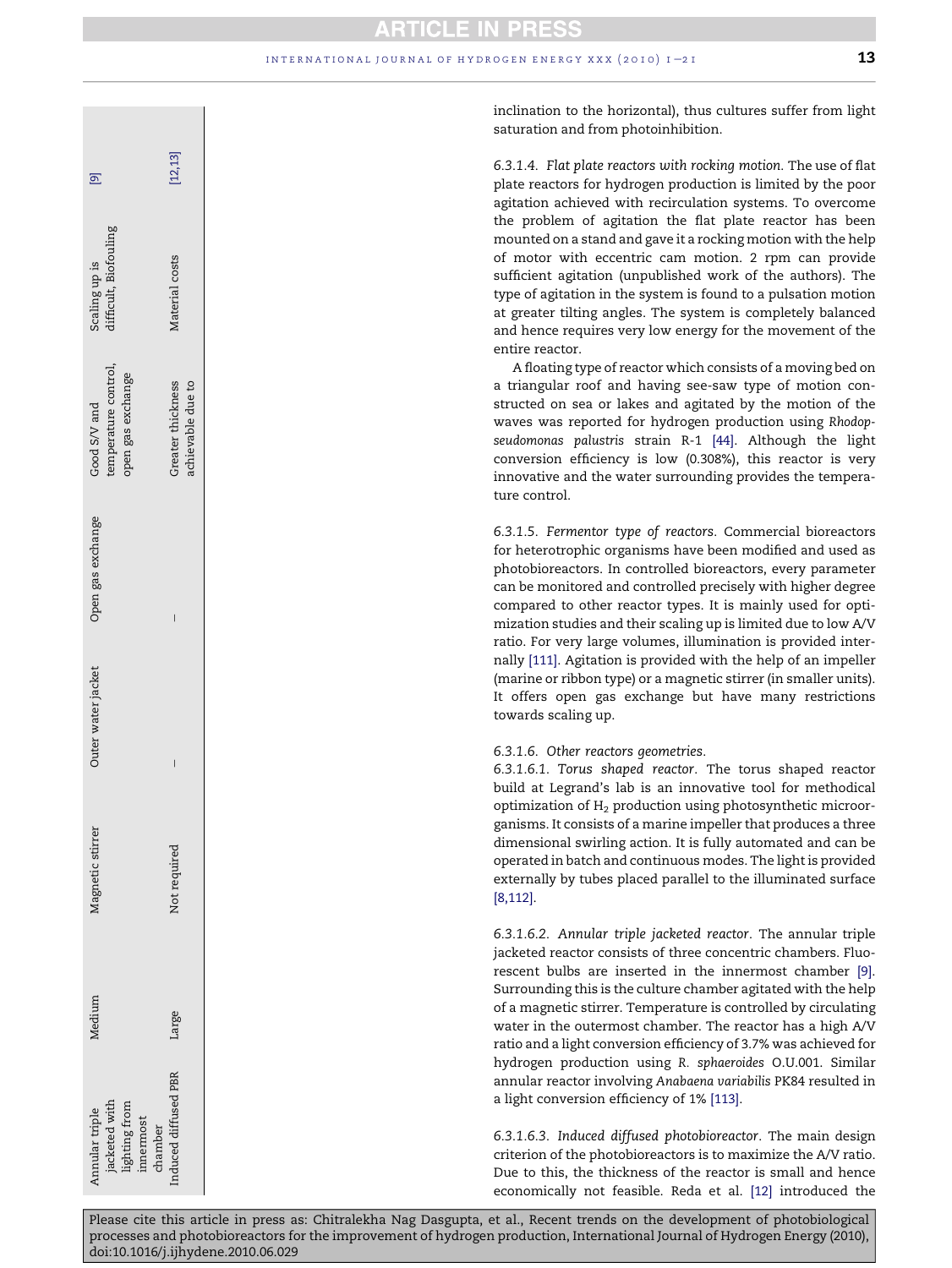| jacketed with<br>lighting from<br>innermost<br>Annular triple | Medium | Magnetic stirrer | Outer water jacket       | Open gas exchange | temperature control,<br>open gas exchange<br>Good S/V and | Scaling up is<br>difficult, Biofouling | $\overline{\mathbb{P}}$ |
|---------------------------------------------------------------|--------|------------------|--------------------------|-------------------|-----------------------------------------------------------|----------------------------------------|-------------------------|
| Induced diffused PBR<br>chamber                               | Large  | Not required     | $\overline{\phantom{a}}$ | I                 | achievable due to<br>Greater thickness                    | Material costs                         | [12, 13]                |
|                                                               |        |                  |                          |                   |                                                           |                                        |                         |

inclination to the horizontal), thus cultures suffer from light saturation and from photoinhibition.

6.3.1.4. Flat plate reactors with rocking motion. The use of flat plate reactors for hydrogen production is limited by the poor agitation achieved with recirculation systems. To overcome the problem of agitation the flat plate reactor has been mounted on a stand and gave it a rocking motion with the help of motor with eccentric cam motion. 2 rpm can provide sufficient agitation (unpublished work of the authors). The type of agitation in the system is found to a pulsation motion at greater tilting angles. The system is completely balanced and hence requires very low energy for the movement of the entire reactor.

A floating type of reactor which consists of a moving bed on a triangular roof and having see-saw type of motion constructed on sea or lakes and agitated by the motion of the waves was reported for hydrogen production using Rhodopseudomonas palustris strain R-1 [\[44\]](#page-17-0). Although the light conversion efficiency is low (0.308%), this reactor is very innovative and the water surrounding provides the temperature control.

6.3.1.5. Fermentor type of reactors. Commercial bioreactors for heterotrophic organisms have been modified and used as photobioreactors. In controlled bioreactors, every parameter can be monitored and controlled precisely with higher degree compared to other reactor types. It is mainly used for optimization studies and their scaling up is limited due to low A/V ratio. For very large volumes, illumination is provided internally [\[111\].](#page-19-0) Agitation is provided with the help of an impeller (marine or ribbon type) or a magnetic stirrer (in smaller units). It offers open gas exchange but have many restrictions towards scaling up.

#### 6.3.1.6. Other reactors geometries.

6.3.1.6.1. Torus shaped reactor. The torus shaped reactor build at Legrand's lab is an innovative tool for methodical optimization of  $H_2$  production using photosynthetic microorganisms. It consists of a marine impeller that produces a three dimensional swirling action. It is fully automated and can be operated in batch and continuous modes. The light is provided externally by tubes placed parallel to the illuminated surface [\[8,112\].](#page-16-0)

6.3.1.6.2. Annular triple jacketed reactor. The annular triple jacketed reactor consists of three concentric chambers. Fluorescent bulbs are inserted in the innermost chamber [\[9\].](#page-16-0) Surrounding this is the culture chamber agitated with the help of a magnetic stirrer. Temperature is controlled by circulating water in the outermost chamber. The reactor has a high A/V ratio and a light conversion efficiency of 3.7% was achieved for hydrogen production using R. sphaeroides O.U.001. Similar annular reactor involving Anabaena variabilis PK84 resulted in a light conversion efficiency of 1% [\[113\].](#page-19-0)

6.3.1.6.3. Induced diffused photobioreactor. The main design criterion of the photobioreactors is to maximize the A/V ratio. Due to this, the thickness of the reactor is small and hence economically not feasible. Reda et al. [\[12\]](#page-17-0) introduced the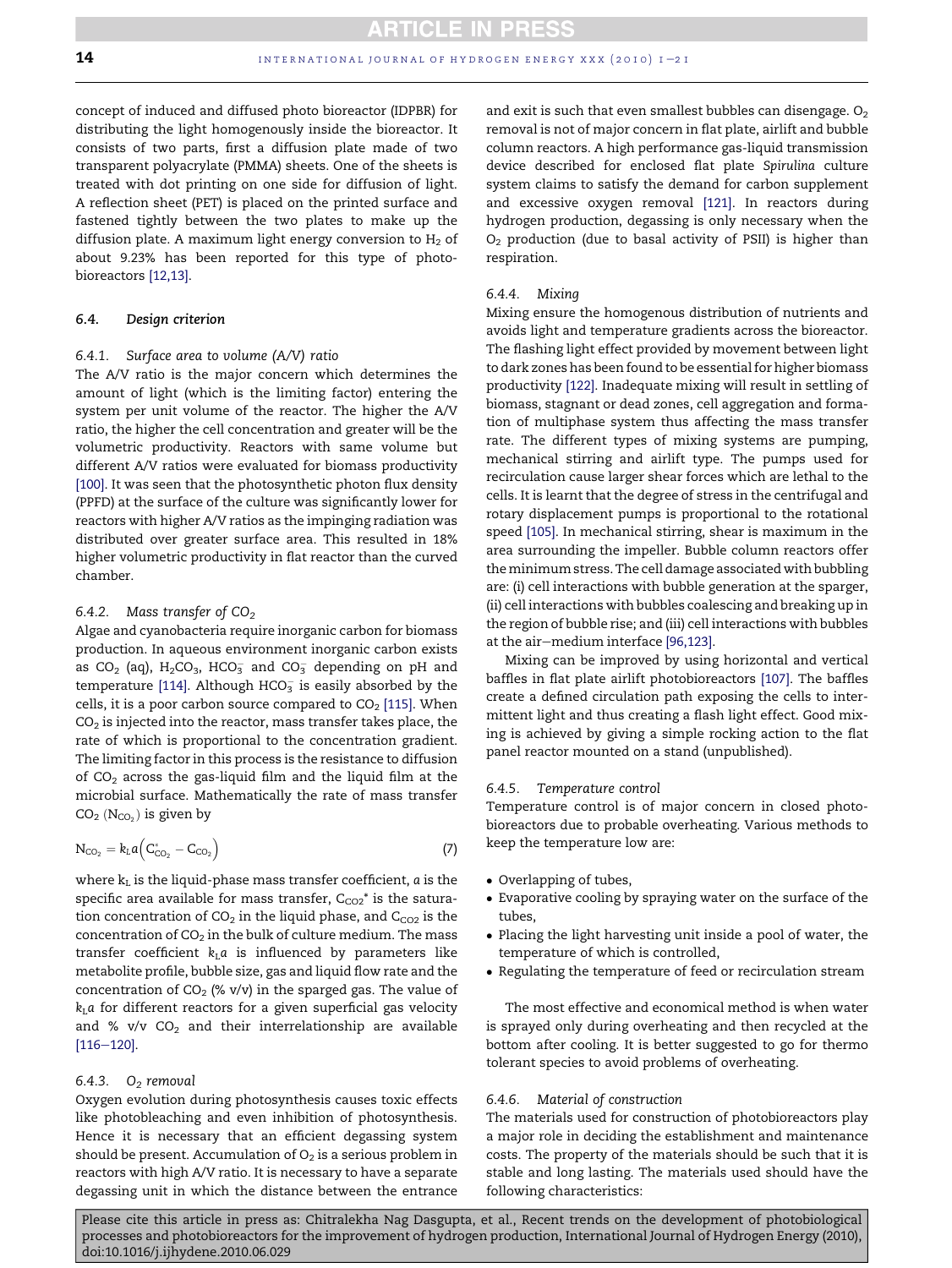concept of induced and diffused photo bioreactor (IDPBR) for distributing the light homogenously inside the bioreactor. It consists of two parts, first a diffusion plate made of two transparent polyacrylate (PMMA) sheets. One of the sheets is treated with dot printing on one side for diffusion of light. A reflection sheet (PET) is placed on the printed surface and fastened tightly between the two plates to make up the diffusion plate. A maximum light energy conversion to  $H_2$  of about 9.23% has been reported for this type of photobioreactors [\[12,13\].](#page-17-0)

#### 6.4. Design criterion

#### 6.4.1. Surface area to volume (A/V) ratio

The A/V ratio is the major concern which determines the amount of light (which is the limiting factor) entering the system per unit volume of the reactor. The higher the A/V ratio, the higher the cell concentration and greater will be the volumetric productivity. Reactors with same volume but different A/V ratios were evaluated for biomass productivity [\[100\]](#page-19-0). It was seen that the photosynthetic photon flux density (PPFD) at the surface of the culture was significantly lower for reactors with higher A/V ratios as the impinging radiation was distributed over greater surface area. This resulted in 18% higher volumetric productivity in flat reactor than the curved chamber.

#### 6.4.2. Mass transfer of  $CO<sub>2</sub>$

Algae and cyanobacteria require inorganic carbon for biomass production. In aqueous environment inorganic carbon exists as CO<sub>2</sub> (aq), H<sub>2</sub>CO<sub>3</sub>, HCO<sub>3</sub> and CO<sub>3</sub> depending on pH and temperature [\[114\]](#page-19-0). Although HCO $_3^-$  is easily absorbed by the cells, it is a poor carbon source compared to  $CO<sub>2</sub>$  [\[115\]](#page-19-0). When  $CO<sub>2</sub>$  is injected into the reactor, mass transfer takes place, the rate of which is proportional to the concentration gradient. The limiting factor in this process is the resistance to diffusion of  $CO<sub>2</sub>$  across the gas-liquid film and the liquid film at the microbial surface. Mathematically the rate of mass transfer  $CO<sub>2</sub> (N<sub>CO<sub>2</sub></sub>)$  is given by

$$
N_{\text{CO}_2} = k_{\text{L}} a \Big( C_{\text{CO}_2}^* - C_{\text{CO}_2} \Big) \tag{7}
$$

where  $k<sub>L</sub>$  is the liquid-phase mass transfer coefficient,  $a$  is the specific area available for mass transfer,  $C_{CO2}^*$  is the saturation concentration of  $CO<sub>2</sub>$  in the liquid phase, and  $C<sub>CO2</sub>$  is the concentration of  $CO<sub>2</sub>$  in the bulk of culture medium. The mass transfer coefficient  $k<sub>L</sub>a$  is influenced by parameters like metabolite profile, bubble size, gas and liquid flow rate and the concentration of  $CO<sub>2</sub>$  (% v/v) in the sparged gas. The value of  $k<sub>L</sub>a$  for different reactors for a given superficial gas velocity and % v/v  $CO<sub>2</sub>$  and their interrelationship are available  $[116 - 120]$  $[116 - 120]$ .

## 6.4.3. O<sub>2</sub> removal

Oxygen evolution during photosynthesis causes toxic effects like photobleaching and even inhibition of photosynthesis. Hence it is necessary that an efficient degassing system should be present. Accumulation of  $O<sub>2</sub>$  is a serious problem in reactors with high A/V ratio. It is necessary to have a separate degassing unit in which the distance between the entrance

and exit is such that even smallest bubbles can disengage.  $O<sub>2</sub>$ removal is not of major concern in flat plate, airlift and bubble column reactors. A high performance gas-liquid transmission device described for enclosed flat plate Spirulina culture system claims to satisfy the demand for carbon supplement and excessive oxygen removal [\[121\]](#page-19-0). In reactors during hydrogen production, degassing is only necessary when the  $O<sub>2</sub>$  production (due to basal activity of PSII) is higher than respiration.

#### 6.4.4. Mixing

Mixing ensure the homogenous distribution of nutrients and avoids light and temperature gradients across the bioreactor. The flashing light effect provided by movement between light to dark zones has been found to be essential for higher biomass productivity [\[122\]](#page-19-0). Inadequate mixing will result in settling of biomass, stagnant or dead zones, cell aggregation and formation of multiphase system thus affecting the mass transfer rate. The different types of mixing systems are pumping, mechanical stirring and airlift type. The pumps used for recirculation cause larger shear forces which are lethal to the cells. It is learnt that the degree of stress in the centrifugal and rotary displacement pumps is proportional to the rotational speed [\[105\].](#page-19-0) In mechanical stirring, shear is maximum in the area surrounding the impeller. Bubble column reactors offer the minimum stress. The cell damage associated with bubbling are: (i) cell interactions with bubble generation at the sparger, (ii) cell interactions with bubbles coalescing and breaking up in the region of bubble rise; and (iii) cell interactions with bubbles at the air-medium interface [\[96,123\].](#page-19-0)

Mixing can be improved by using horizontal and vertical baffles in flat plate airlift photobioreactors [\[107\]](#page-19-0). The baffles create a defined circulation path exposing the cells to intermittent light and thus creating a flash light effect. Good mixing is achieved by giving a simple rocking action to the flat panel reactor mounted on a stand (unpublished).

#### 6.4.5. Temperature control

Temperature control is of major concern in closed photobioreactors due to probable overheating. Various methods to keep the temperature low are:

- Overlapping of tubes,
- Evaporative cooling by spraying water on the surface of the tubes,
- Placing the light harvesting unit inside a pool of water, the temperature of which is controlled,
- Regulating the temperature of feed or recirculation stream

The most effective and economical method is when water is sprayed only during overheating and then recycled at the bottom after cooling. It is better suggested to go for thermo tolerant species to avoid problems of overheating.

## 6.4.6. Material of construction

The materials used for construction of photobioreactors play a major role in deciding the establishment and maintenance costs. The property of the materials should be such that it is stable and long lasting. The materials used should have the following characteristics: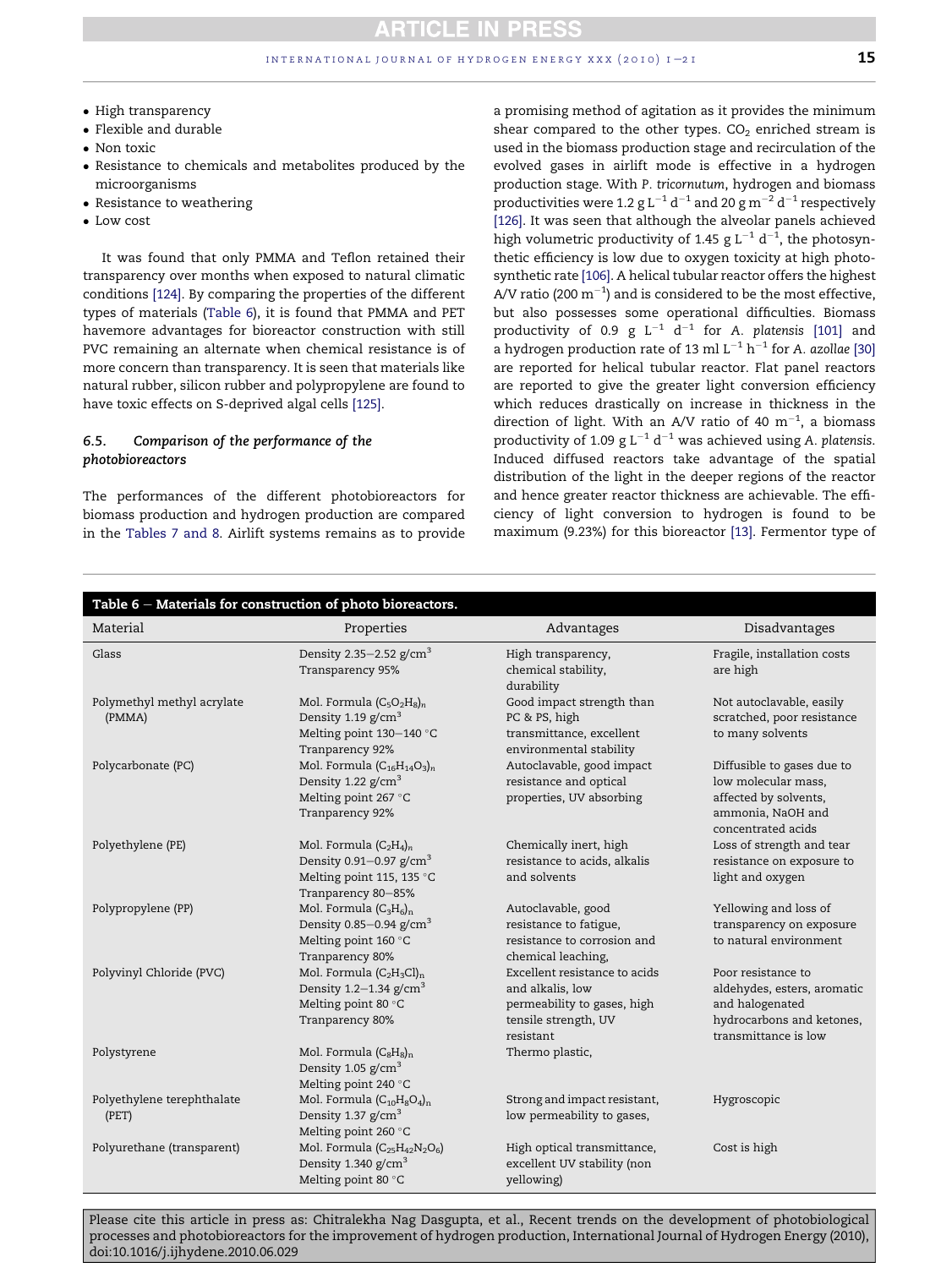- High transparency
- Flexible and durable
- Non toxic
- Resistance to chemicals and metabolites produced by the microorganisms
- Resistance to weathering
- Low cost

It was found that only PMMA and Teflon retained their transparency over months when exposed to natural climatic conditions [\[124\].](#page-20-0) By comparing the properties of the different types of materials (Table 6), it is found that PMMA and PET havemore advantages for bioreactor construction with still PVC remaining an alternate when chemical resistance is of more concern than transparency. It is seen that materials like natural rubber, silicon rubber and polypropylene are found to have toxic effects on S-deprived algal cells [\[125\].](#page-20-0)

## 6.5. Comparison of the performance of the photobioreactors

The performances of the different photobioreactors for biomass production and hydrogen production are compared in the [Tables 7 and 8](#page-15-0). Airlift systems remains as to provide a promising method of agitation as it provides the minimum shear compared to the other types.  $CO<sub>2</sub>$  enriched stream is used in the biomass production stage and recirculation of the evolved gases in airlift mode is effective in a hydrogen production stage. With P. tricornutum, hydrogen and biomass productivities were 1.2 g L $^{-1}$  d $^{-1}$  and 20 g m $^{-2}$  d $^{-1}$  respectively [\[126\]](#page-20-0). It was seen that although the alveolar panels achieved high volumetric productivity of 1.45 g  $\mathsf{L}^{-1}$  d $^{-1}$ , the photosynthetic efficiency is low due to oxygen toxicity at high photosynthetic rate [\[106\]](#page-19-0). A helical tubular reactor offers the highest A/V ratio (200  $\mathrm{m}^{-1}$ ) and is considered to be the most effective, but also possesses some operational difficulties. Biomass productivity of 0.9 g  $L^{-1}$  d<sup>-1</sup> for A. platensis [\[101\]](#page-19-0) and a hydrogen production rate of 13 ml  $L^{-1}$  h<sup>-1</sup> for A. azollae [\[30\]](#page-17-0) are reported for helical tubular reactor. Flat panel reactors are reported to give the greater light conversion efficiency which reduces drastically on increase in thickness in the direction of light. With an A/V ratio of 40  $\mathrm{m}^{-1}$ , a biomass productivity of 1.09 g  $L^{-1}$  d<sup>-1</sup> was achieved using A. platensis. Induced diffused reactors take advantage of the spatial distribution of the light in the deeper regions of the reactor and hence greater reactor thickness are achievable. The efficiency of light conversion to hydrogen is found to be maximum (9.23%) for this bioreactor [\[13\]](#page-17-0). Fermentor type of

| Table $6$ – Materials for construction of photo bioreactors. |                                                                                                                            |                                                                                                                       |                                                                                                                           |
|--------------------------------------------------------------|----------------------------------------------------------------------------------------------------------------------------|-----------------------------------------------------------------------------------------------------------------------|---------------------------------------------------------------------------------------------------------------------------|
| Material                                                     | Properties                                                                                                                 | Advantages                                                                                                            | Disadvantages                                                                                                             |
| Glass                                                        | Density 2.35-2.52 g/cm <sup>3</sup><br>Transparency 95%                                                                    | High transparency,<br>chemical stability,<br>durability                                                               | Fragile, installation costs<br>are high                                                                                   |
| Polymethyl methyl acrylate<br>(PMMA)                         | Mol. Formula $(C_5O_2H_8)_n$<br>Density 1.19 $g/cm3$<br>Melting point 130-140 °C<br>Tranparency 92%                        | Good impact strength than<br>PC & PS, high<br>transmittance, excellent<br>environmental stability                     | Not autoclavable, easily<br>scratched, poor resistance<br>to many solvents                                                |
| Polycarbonate (PC)                                           | Mol. Formula $(C_{16}H_{14}O_3)_n$<br>Density 1.22 g/cm <sup>3</sup><br>Melting point 267 °C<br>Tranparency 92%            | Autoclavable, good impact<br>resistance and optical<br>properties, UV absorbing                                       | Diffusible to gases due to<br>low molecular mass.<br>affected by solvents,<br>ammonia, NaOH and<br>concentrated acids     |
| Polyethylene (PE)                                            | Mol. Formula $(C_2H_4)_n$<br>Density 0.91-0.97 $g/cm3$<br>Melting point 115, 135 °C<br>Tranparency 80-85%                  | Chemically inert, high<br>resistance to acids, alkalis<br>and solvents                                                | Loss of strength and tear<br>resistance on exposure to<br>light and oxygen                                                |
| Polypropylene (PP)                                           | Mol. Formula $(C_3H_6)_n$<br>Density $0.85-0.94$ g/cm <sup>3</sup><br>Melting point 160 °C<br>Tranparency 80%              | Autoclavable, good<br>resistance to fatigue,<br>resistance to corrosion and<br>chemical leaching,                     | Yellowing and loss of<br>transparency on exposure<br>to natural environment                                               |
| Polyvinyl Chloride (PVC)                                     | Mol. Formula $(C_2H_3Cl)_n$<br>Density $1.2 - 1.34$ g/cm <sup>3</sup><br>Melting point 80 °C<br>Tranparency 80%            | Excellent resistance to acids<br>and alkalis, low<br>permeability to gases, high<br>tensile strength, UV<br>resistant | Poor resistance to<br>aldehydes, esters, aromatic<br>and halogenated<br>hydrocarbons and ketones,<br>transmittance is low |
| Polystyrene                                                  | Mol. Formula $(C_8H_8)_n$<br>Density 1.05 g/cm <sup>3</sup><br>Melting point 240 °C                                        | Thermo plastic,                                                                                                       |                                                                                                                           |
| Polyethylene terephthalate<br>(PET)                          | Mol. Formula (C <sub>10</sub> H <sub>8</sub> O <sub>4</sub> ) <sub>n</sub><br>Density 1.37 $g/cm3$<br>Melting point 260 °C | Strong and impact resistant,<br>low permeability to gases,                                                            | Hygroscopic                                                                                                               |
| Polyurethane (transparent)                                   | Mol. Formula $(C_{25}H_{42}N_{2}O_{6})$<br>Density 1.340 g/cm <sup>3</sup><br>Melting point 80 °C                          | High optical transmittance,<br>excellent UV stability (non<br>yellowing)                                              | Cost is high                                                                                                              |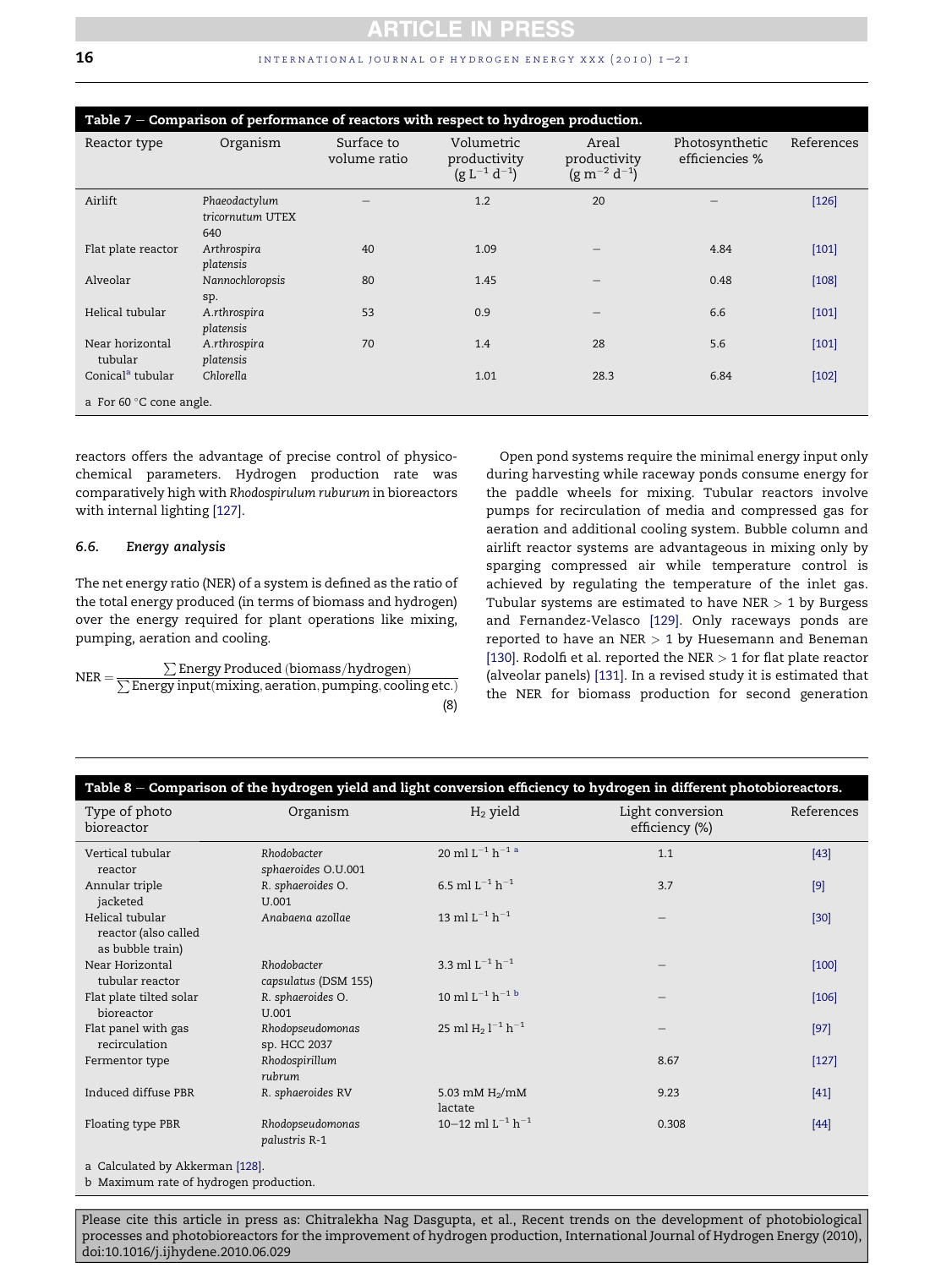<span id="page-15-0"></span>

|                              | Table $7$ – Comparison of performance of reactors with respect to hydrogen production. |                            |                                                   |                                              |                                  |            |
|------------------------------|----------------------------------------------------------------------------------------|----------------------------|---------------------------------------------------|----------------------------------------------|----------------------------------|------------|
| Reactor type                 | Organism                                                                               | Surface to<br>volume ratio | Volumetric<br>productivity<br>$(g L^{-1} d^{-1})$ | Areal<br>productivity<br>$(g m^{-2} d^{-1})$ | Photosynthetic<br>efficiencies % | References |
| Airlift                      | Phaeodactylum<br>tricornutum UTEX<br>640                                               |                            | 1.2                                               | 20                                           |                                  | [126]      |
| Flat plate reactor           | Arthrospira<br>platensis                                                               | 40                         | 1.09                                              |                                              | 4.84                             | $[101]$    |
| Alveolar                     | Nannochloropsis<br>sp.                                                                 | 80                         | 1.45                                              |                                              | 0.48                             | $[108]$    |
| Helical tubular              | A.rthrospira<br>platensis                                                              | 53                         | 0.9                                               |                                              | 6.6                              | $[101]$    |
| Near horizontal<br>tubular   | A.rthrospira<br>platensis                                                              | 70                         | 1.4                                               | 28                                           | 5.6                              | $[101]$    |
| Conical <sup>a</sup> tubular | Chlorella                                                                              |                            | 1.01                                              | 28.3                                         | 6.84                             | $[102]$    |
| a For 60 °C cone angle.      |                                                                                        |                            |                                                   |                                              |                                  |            |

reactors offers the advantage of precise control of physicochemical parameters. Hydrogen production rate was comparatively high with Rhodospirulum ruburum in bioreactors with internal lighting [\[127\]](#page-20-0).

## 6.6. Energy analysis

The net energy ratio (NER) of a system is defined as the ratio of the total energy produced (in terms of biomass and hydrogen) over the energy required for plant operations like mixing, pumping, aeration and cooling.

 $NER = \frac{\sum \text{Energy produced (biomass/hydrogen)}}{\sum \text{Energy initial energy}}$  $\sum$  Energy input $(\operatorname{mixing},\operatorname{aeration},\operatorname{pumping},\operatorname{cooling}$  etc.) (8)

Open pond systems require the minimal energy input only during harvesting while raceway ponds consume energy for the paddle wheels for mixing. Tubular reactors involve pumps for recirculation of media and compressed gas for aeration and additional cooling system. Bubble column and airlift reactor systems are advantageous in mixing only by sparging compressed air while temperature control is achieved by regulating the temperature of the inlet gas. Tubular systems are estimated to have NER  $>$  1 by Burgess and Fernandez-Velasco [\[129\]](#page-20-0). Only raceways ponds are reported to have an NER  $> 1$  by Huesemann and Beneman [\[130\].](#page-20-0) Rodolfi et al. reported the NER > 1 for flat plate reactor (alveolar panels) [\[131\].](#page-20-0) In a revised study it is estimated that the NER for biomass production for second generation

|                                                             |                                     | Table 8 – Comparison of the hydrogen yield and light conversion efficiency to hydrogen in different photobioreactors. |                                    |            |
|-------------------------------------------------------------|-------------------------------------|-----------------------------------------------------------------------------------------------------------------------|------------------------------------|------------|
| Type of photo<br>bioreactor                                 | Organism                            | $H2$ yield                                                                                                            | Light conversion<br>efficiency (%) | References |
| Vertical tubular<br>reactor                                 | Rhodobacter<br>sphaeroides O.U.001  | 20 ml L <sup>-1</sup> h <sup>-1 a</sup>                                                                               | 1.1                                | $[43]$     |
| Annular triple<br>jacketed                                  | R. sphaeroides O.<br>U.001          | 6.5 ml $L^{-1}$ h <sup>-1</sup>                                                                                       | 3.7                                | $[9]$      |
| Helical tubular<br>reactor (also called<br>as bubble train) | Anabaena azollae                    | 13 ml L <sup>-1</sup> h <sup>-1</sup>                                                                                 |                                    | $[30]$     |
| Near Horizontal<br>tubular reactor                          | Rhodobacter<br>capsulatus (DSM 155) | 3.3 ml $L^{-1}$ h <sup>-1</sup>                                                                                       |                                    | $[100]$    |
| Flat plate tilted solar<br>bioreactor                       | R. sphaeroides O.<br>U.001          | 10 ml L <sup>-1</sup> h <sup>-1 b</sup>                                                                               |                                    | $[106]$    |
| Flat panel with gas<br>recirculation                        | Rhodopseudomonas<br>sp. HCC 2037    | 25 ml $H_2$ $l^{-1}$ $h^{-1}$                                                                                         |                                    | $[97]$     |
| Fermentor type                                              | Rhodospirillum<br>rubrum            |                                                                                                                       | 8.67                               | [127]      |
| Induced diffuse PBR                                         | R. sphaeroides RV                   | 5.03 mM $H2/mM$<br>lactate                                                                                            | 9.23                               | $[41]$     |
| Floating type PBR                                           | Rhodopseudomonas<br>palustris R-1   | 10–12 ml $L^{-1}$ h <sup>-1</sup>                                                                                     | 0.308                              | $[44]$     |

a Calculated by Akkerman [\[128\].](#page-20-0)

b Maximum rate of hydrogen production.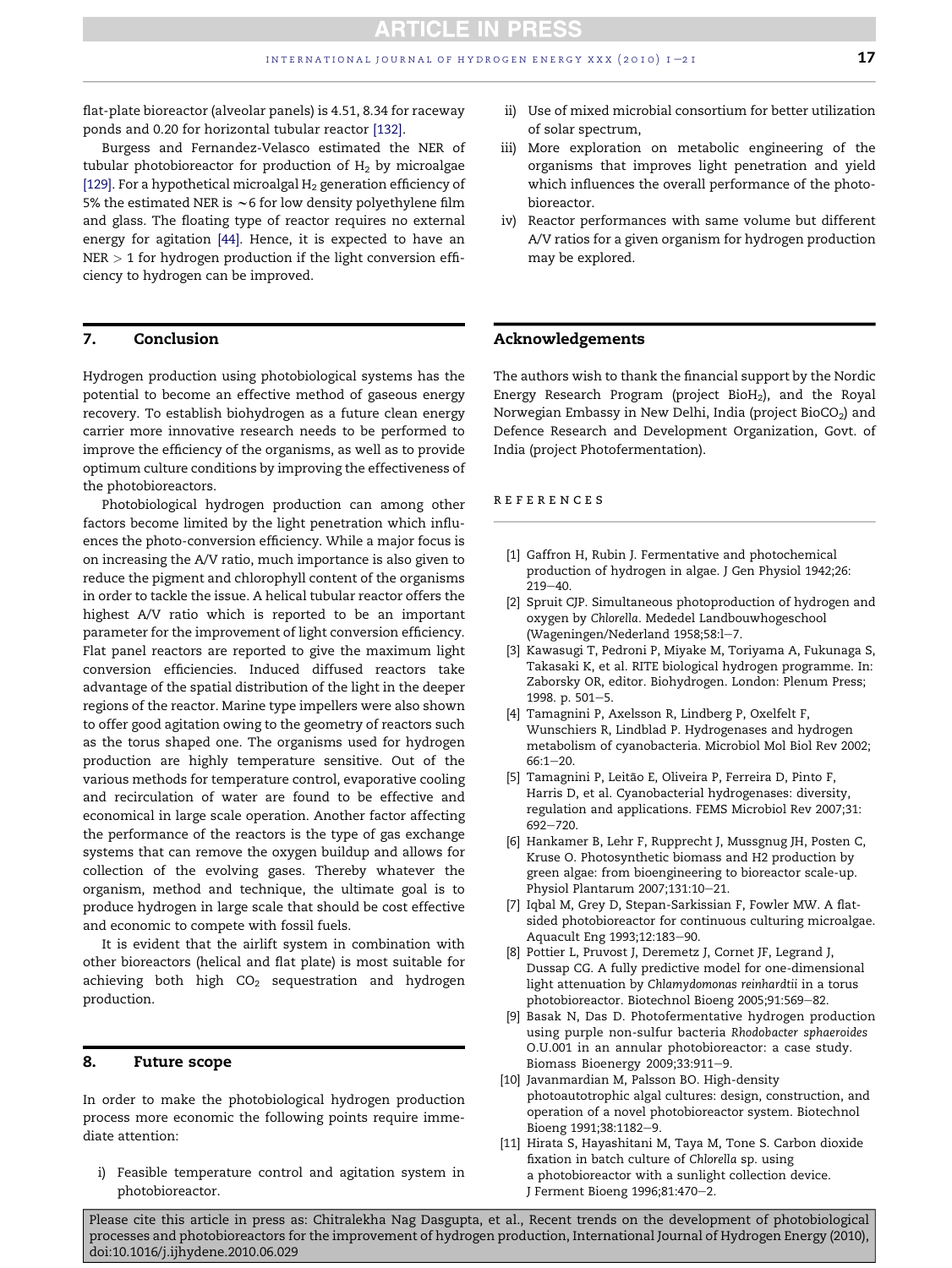<span id="page-16-0"></span>flat-plate bioreactor (alveolar panels) is 4.51, 8.34 for raceway ponds and 0.20 for horizontal tubular reactor [\[132\].](#page-20-0)

Burgess and Fernandez-Velasco estimated the NER of tubular photobioreactor for production of  $H_2$  by microalgae [\[129\]](#page-20-0). For a hypothetical microalgal  $H_2$  generation efficiency of 5% the estimated NER is  $\sim$  6 for low density polyethylene film and glass. The floating type of reactor requires no external energy for agitation [\[44\]](#page-17-0). Hence, it is expected to have an  $NER > 1$  for hydrogen production if the light conversion efficiency to hydrogen can be improved.

## 7. Conclusion

Hydrogen production using photobiological systems has the potential to become an effective method of gaseous energy recovery. To establish biohydrogen as a future clean energy carrier more innovative research needs to be performed to improve the efficiency of the organisms, as well as to provide optimum culture conditions by improving the effectiveness of the photobioreactors.

Photobiological hydrogen production can among other factors become limited by the light penetration which influences the photo-conversion efficiency. While a major focus is on increasing the A/V ratio, much importance is also given to reduce the pigment and chlorophyll content of the organisms in order to tackle the issue. A helical tubular reactor offers the highest A/V ratio which is reported to be an important parameter for the improvement of light conversion efficiency. Flat panel reactors are reported to give the maximum light conversion efficiencies. Induced diffused reactors take advantage of the spatial distribution of the light in the deeper regions of the reactor. Marine type impellers were also shown to offer good agitation owing to the geometry of reactors such as the torus shaped one. The organisms used for hydrogen production are highly temperature sensitive. Out of the various methods for temperature control, evaporative cooling and recirculation of water are found to be effective and economical in large scale operation. Another factor affecting the performance of the reactors is the type of gas exchange systems that can remove the oxygen buildup and allows for collection of the evolving gases. Thereby whatever the organism, method and technique, the ultimate goal is to produce hydrogen in large scale that should be cost effective and economic to compete with fossil fuels.

It is evident that the airlift system in combination with other bioreactors (helical and flat plate) is most suitable for achieving both high  $CO<sub>2</sub>$  sequestration and hydrogen production.

## 8. Future scope

In order to make the photobiological hydrogen production process more economic the following points require immediate attention:

i) Feasible temperature control and agitation system in photobioreactor.

- ii) Use of mixed microbial consortium for better utilization of solar spectrum,
- iii) More exploration on metabolic engineering of the organisms that improves light penetration and yield which influences the overall performance of the photobioreactor.
- iv) Reactor performances with same volume but different A/V ratios for a given organism for hydrogen production may be explored.

## Acknowledgements

The authors wish to thank the financial support by the Nordic Energy Research Program (project BioH2), and the Royal Norwegian Embassy in New Delhi, India (project BioCO<sub>2</sub>) and Defence Research and Development Organization, Govt. of India (project Photofermentation).

## references

- [1] Gaffron H, Rubin J. Fermentative and photochemical production of hydrogen in algae. J Gen Physiol 1942;26:  $219 - 40.$
- [2] Spruit CJP. Simultaneous photoproduction of hydrogen and oxygen by Chlorella. Mededel Landbouwhogeschool (Wageningen/Nederland 1958;58:l-7.
- [3] Kawasugi T, Pedroni P, Miyake M, Toriyama A, Fukunaga S, Takasaki K, et al. RITE biological hydrogen programme. In: Zaborsky OR, editor. Biohydrogen. London: Plenum Press; 1998. p. 501-5.
- [4] Tamagnini P, Axelsson R, Lindberg P, Oxelfelt F, Wunschiers R, Lindblad P. Hydrogenases and hydrogen metabolism of cyanobacteria. Microbiol Mol Biol Rev 2002;  $66:1 - 20.$
- [5] Tamagnini P, Leitão E, Oliveira P, Ferreira D, Pinto F, Harris D, et al. Cyanobacterial hydrogenases: diversity, regulation and applications. FEMS Microbiol Rev 2007;31:  $692 - 720$
- [6] Hankamer B, Lehr F, Rupprecht J, Mussgnug JH, Posten C, Kruse O. Photosynthetic biomass and H2 production by green algae: from bioengineering to bioreactor scale-up. Physiol Plantarum 2007;131:10-21.
- [7] Iqbal M, Grey D, Stepan-Sarkissian F, Fowler MW. A flatsided photobioreactor for continuous culturing microalgae. Aquacult Eng 1993;12:183-90.
- [8] Pottier L, Pruvost J, Deremetz J, Cornet JF, Legrand J, Dussap CG. A fully predictive model for one-dimensional light attenuation by Chlamydomonas reinhardtii in a torus photobioreactor. Biotechnol Bioeng 2005;91:569-82.
- [9] Basak N, Das D. Photofermentative hydrogen production using purple non-sulfur bacteria Rhodobacter sphaeroides O.U.001 in an annular photobioreactor: a case study. Biomass Bioenergy 2009;33:911-9.
- [10] Javanmardian M, Palsson BO. High-density photoautotrophic algal cultures: design, construction, and operation of a novel photobioreactor system. Biotechnol Bioeng 1991;38:1182-9.
- [11] Hirata S, Hayashitani M, Taya M, Tone S. Carbon dioxide fixation in batch culture of Chlorella sp. using a photobioreactor with a sunlight collection device. J Ferment Bioeng 1996;81:470-2.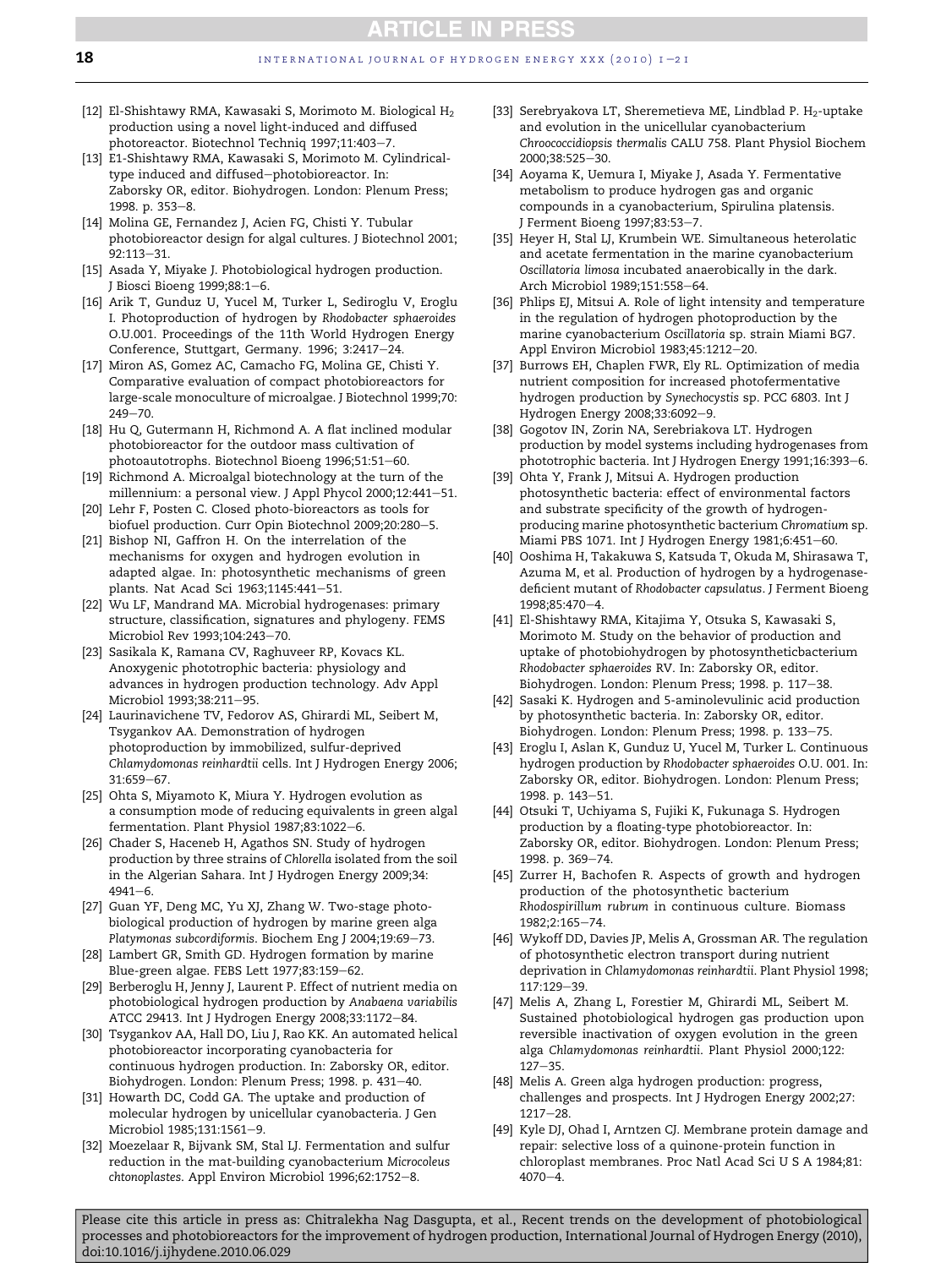- <span id="page-17-0"></span>[12] El-Shishtawy RMA, Kawasaki S, Morimoto M. Biological  $H_2$ production using a novel light-induced and diffused photoreactor. Biotechnol Techniq 1997;11:403-7.
- [13] E1-Shishtawy RMA, Kawasaki S, Morimoto M. Cylindricaltype induced and diffused-photobioreactor. In: Zaborsky OR, editor. Biohydrogen. London: Plenum Press; 1998. p. 353-8.
- [14] Molina GE, Fernandez J, Acien FG, Chisti Y. Tubular photobioreactor design for algal cultures. J Biotechnol 2001;  $92:113 - 31.$
- [15] Asada Y, Miyake J. Photobiological hydrogen production. J Biosci Bioeng 1999;88:1-6.
- [16] Arik T, Gunduz U, Yucel M, Turker L, Sediroglu V, Eroglu I. Photoproduction of hydrogen by Rhodobacter sphaeroides O.U.001. Proceedings of the 11th World Hydrogen Energy Conference, Stuttgart, Germany. 1996; 3:2417-24.
- [17] Miron AS, Gomez AC, Camacho FG, Molina GE, Chisti Y. Comparative evaluation of compact photobioreactors for large-scale monoculture of microalgae. J Biotechnol 1999;70:  $249 - 70.$
- [18] Hu Q, Gutermann H, Richmond A. A flat inclined modular photobioreactor for the outdoor mass cultivation of photoautotrophs. Biotechnol Bioeng 1996;51:51-60.
- [19] Richmond A. Microalgal biotechnology at the turn of the millennium: a personal view. J Appl Phycol 2000;12:441-51.
- [20] Lehr F, Posten C. Closed photo-bioreactors as tools for biofuel production. Curr Opin Biotechnol 2009;20:280-5.
- [21] Bishop NI, Gaffron H. On the interrelation of the mechanisms for oxygen and hydrogen evolution in adapted algae. In: photosynthetic mechanisms of green plants. Nat Acad Sci 1963;1145:441-51.
- [22] Wu LF, Mandrand MA. Microbial hydrogenases: primary structure, classification, signatures and phylogeny. FEMS Microbiol Rev 1993;104:243-70.
- [23] Sasikala K, Ramana CV, Raghuveer RP, Kovacs KL. Anoxygenic phototrophic bacteria: physiology and advances in hydrogen production technology. Adv Appl Microbiol 1993;38:211-95.
- [24] Laurinavichene TV, Fedorov AS, Ghirardi ML, Seibert M, Tsygankov AA. Demonstration of hydrogen photoproduction by immobilized, sulfur-deprived Chlamydomonas reinhardtii cells. Int J Hydrogen Energy 2006;  $31:659-67.$
- [25] Ohta S, Miyamoto K, Miura Y. Hydrogen evolution as a consumption mode of reducing equivalents in green algal fermentation. Plant Physiol 1987;83:1022-6.
- [26] Chader S, Haceneb H, Agathos SN. Study of hydrogen production by three strains of Chlorella isolated from the soil in the Algerian Sahara. Int J Hydrogen Energy 2009;34:  $4941 - 6$
- [27] Guan YF, Deng MC, Yu XJ, Zhang W. Two-stage photobiological production of hydrogen by marine green alga Platymonas subcordiformis. Biochem Eng J 2004;19:69-73.
- [28] Lambert GR, Smith GD. Hydrogen formation by marine Blue-green algae. FEBS Lett 1977;83:159-62.
- [29] Berberoglu H, Jenny J, Laurent P. Effect of nutrient media on photobiological hydrogen production by Anabaena variabilis ATCC 29413. Int J Hydrogen Energy 2008;33:1172-84.
- [30] Tsygankov AA, Hall DO, Liu J, Rao KK. An automated helical photobioreactor incorporating cyanobacteria for continuous hydrogen production. In: Zaborsky OR, editor. Biohydrogen. London: Plenum Press; 1998. p. 431-40.
- [31] Howarth DC, Codd GA. The uptake and production of molecular hydrogen by unicellular cyanobacteria. J Gen Microbiol 1985;131:1561-9.
- [32] Moezelaar R, Bijvank SM, Stal LJ. Fermentation and sulfur reduction in the mat-building cyanobacterium Microcoleus chtonoplastes. Appl Environ Microbiol 1996;62:1752-8.
- [33] Serebryakova LT, Sheremetieva ME, Lindblad P. H<sub>2</sub>-uptake and evolution in the unicellular cyanobacterium Chroococcidiopsis thermalis CALU 758. Plant Physiol Biochem 2000;38:525-30.
- [34] Aoyama K, Uemura I, Miyake J, Asada Y. Fermentative metabolism to produce hydrogen gas and organic compounds in a cyanobacterium, Spirulina platensis. J Ferment Bioeng 1997;83:53-7.
- [35] Heyer H, Stal LJ, Krumbein WE. Simultaneous heterolatic and acetate fermentation in the marine cyanobacterium Oscillatoria limosa incubated anaerobically in the dark. Arch Microbiol 1989;151:558-64.
- [36] Phlips EJ, Mitsui A. Role of light intensity and temperature in the regulation of hydrogen photoproduction by the marine cyanobacterium Oscillatoria sp. strain Miami BG7. Appl Environ Microbiol 1983;45:1212-20.
- [37] Burrows EH, Chaplen FWR, Ely RL. Optimization of media nutrient composition for increased photofermentative hydrogen production by Synechocystis sp. PCC 6803. Int J Hydrogen Energy 2008;33:6092-9.
- [38] Gogotov IN, Zorin NA, Serebriakova LT. Hydrogen production by model systems including hydrogenases from phototrophic bacteria. Int J Hydrogen Energy 1991;16:393-6.
- [39] Ohta Y, Frank J, Mitsui A. Hydrogen production photosynthetic bacteria: effect of environmental factors and substrate specificity of the growth of hydrogenproducing marine photosynthetic bacterium Chromatium sp. Miami PBS 1071. Int J Hydrogen Energy 1981;6:451-60.
- [40] Ooshima H, Takakuwa S, Katsuda T, Okuda M, Shirasawa T, Azuma M, et al. Production of hydrogen by a hydrogenasedeficient mutant of Rhodobacter capsulatus. J Ferment Bioeng 1998;85:470-4.
- [41] El-Shishtawy RMA, Kitajima Y, Otsuka S, Kawasaki S, Morimoto M. Study on the behavior of production and uptake of photobiohydrogen by photosyntheticbacterium Rhodobacter sphaeroides RV. In: Zaborsky OR, editor. Biohydrogen. London: Plenum Press; 1998. p. 117-38.
- [42] Sasaki K. Hydrogen and 5-aminolevulinic acid production by photosynthetic bacteria. In: Zaborsky OR, editor. Biohydrogen. London: Plenum Press; 1998. p. 133-75.
- [43] Eroglu I, Aslan K, Gunduz U, Yucel M, Turker L. Continuous hydrogen production by Rhodobacter sphaeroides O.U. 001. In: Zaborsky OR, editor. Biohydrogen. London: Plenum Press; 1998. p. 143-51.
- [44] Otsuki T, Uchiyama S, Fujiki K, Fukunaga S. Hydrogen production by a floating-type photobioreactor. In: Zaborsky OR, editor. Biohydrogen. London: Plenum Press; 1998. p. 369-74.
- [45] Zurrer H, Bachofen R. Aspects of growth and hydrogen production of the photosynthetic bacterium Rhodospirillum rubrum in continuous culture. Biomass 1982;2:165-74.
- [46] Wykoff DD, Davies JP, Melis A, Grossman AR. The regulation of photosynthetic electron transport during nutrient deprivation in Chlamydomonas reinhardtii. Plant Physiol 1998; 117:129-39.
- [47] Melis A, Zhang L, Forestier M, Ghirardi ML, Seibert M. Sustained photobiological hydrogen gas production upon reversible inactivation of oxygen evolution in the green alga Chlamydomonas reinhardtii. Plant Physiol 2000;122:  $127 - 35$
- [48] Melis A. Green alga hydrogen production: progress, challenges and prospects. Int J Hydrogen Energy 2002;27:  $1217 - 28$
- [49] Kyle DJ, Ohad I, Arntzen CJ. Membrane protein damage and repair: selective loss of a quinone-protein function in chloroplast membranes. Proc Natl Acad Sci U S A 1984;81:  $4070 - 4.$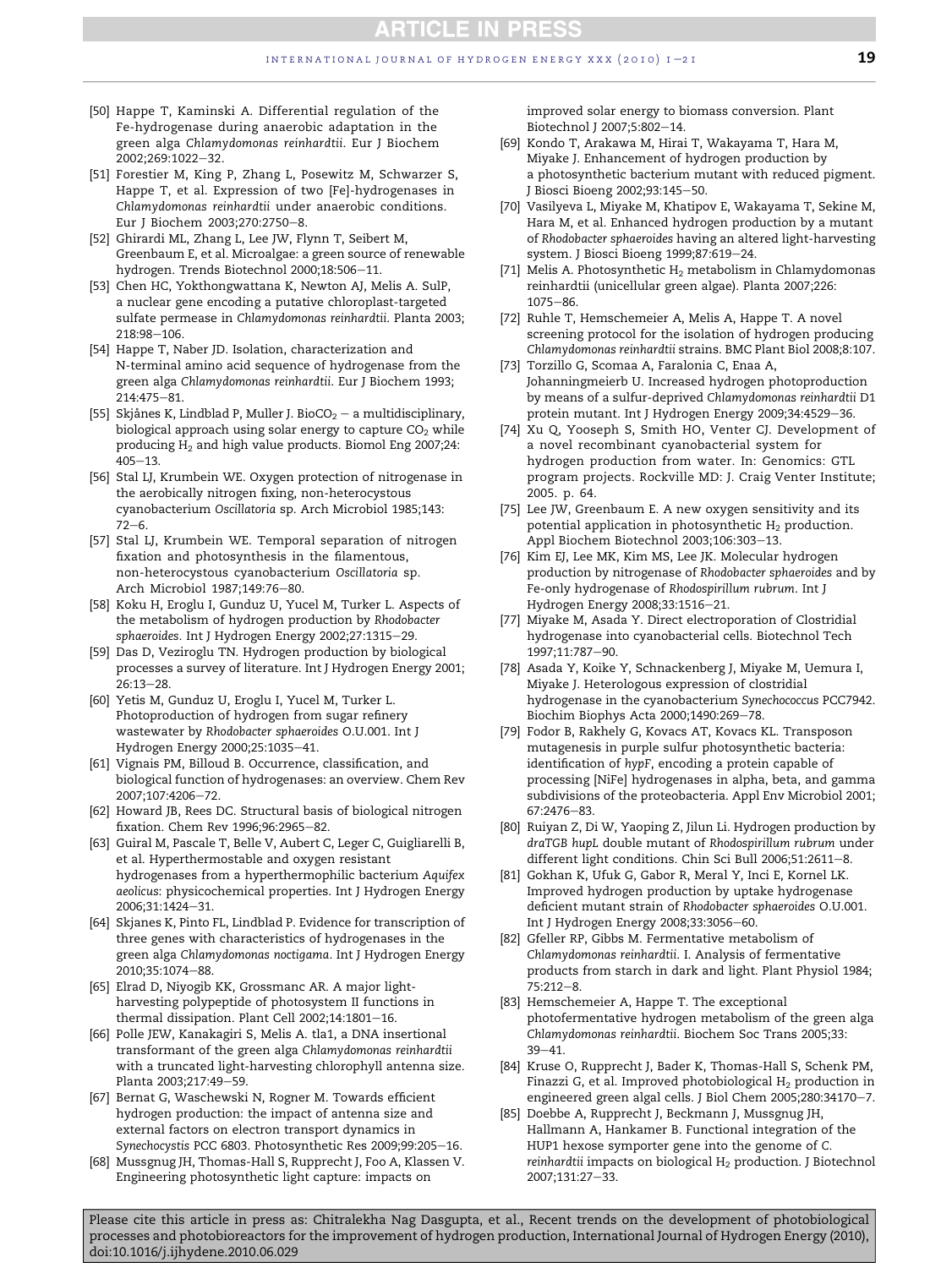## INTERNATIONAL JOURNAL OF HYDROGEN ENERGY XXX (2010)  $1 - 21$  19

- <span id="page-18-0"></span>[50] Happe T, Kaminski A. Differential regulation of the Fe-hydrogenase during anaerobic adaptation in the green alga Chlamydomonas reinhardtii. Eur J Biochem 2002:269:1022-32.
- [51] Forestier M, King P, Zhang L, Posewitz M, Schwarzer S, Happe T, et al. Expression of two [Fe]-hydrogenases in Chlamydomonas reinhardtii under anaerobic conditions. Eur J Biochem 2003;270:2750-8.
- [52] Ghirardi ML, Zhang L, Lee JW, Flynn T, Seibert M, Greenbaum E, et al. Microalgae: a green source of renewable hydrogen. Trends Biotechnol 2000;18:506-11.
- [53] Chen HC, Yokthongwattana K, Newton AJ, Melis A. SulP, a nuclear gene encoding a putative chloroplast-targeted sulfate permease in Chlamydomonas reinhardtii. Planta 2003;  $218:98 - 106.$
- [54] Happe T, Naber JD. Isolation, characterization and N-terminal amino acid sequence of hydrogenase from the green alga Chlamydomonas reinhardtii. Eur J Biochem 1993; 214:475-81.
- [55] Skjånes K, Lindblad P, Muller J. BioCO<sub>2</sub> a multidisciplinary, biological approach using solar energy to capture  $CO<sub>2</sub>$  while producing  $H_2$  and high value products. Biomol Eng 2007;24:  $405 - 13$ .
- [56] Stal LJ, Krumbein WE. Oxygen protection of nitrogenase in the aerobically nitrogen fixing, non-heterocystous cyanobacterium Oscillatoria sp. Arch Microbiol 1985;143:  $72 - 6$ .
- [57] Stal LJ, Krumbein WE. Temporal separation of nitrogen fixation and photosynthesis in the filamentous, non-heterocystous cyanobacterium Oscillatoria sp. Arch Microbiol 1987;149:76-80.
- [58] Koku H, Eroglu I, Gunduz U, Yucel M, Turker L. Aspects of the metabolism of hydrogen production by Rhodobacter sphaeroides. Int J Hydrogen Energy 2002;27:1315-29.
- [59] Das D, Veziroglu TN. Hydrogen production by biological processes a survey of literature. Int J Hydrogen Energy 2001;  $26:13 - 28.$
- [60] Yetis M, Gunduz U, Eroglu I, Yucel M, Turker L. Photoproduction of hydrogen from sugar refinery wastewater by Rhodobacter sphaeroides O.U.001. Int J Hydrogen Energy 2000;25:1035-41.
- [61] Vignais PM, Billoud B. Occurrence, classification, and biological function of hydrogenases: an overview. Chem Rev 2007;107:4206-72.
- [62] Howard JB, Rees DC. Structural basis of biological nitrogen fixation. Chem Rev 1996;96:2965-82.
- [63] Guiral M, Pascale T, Belle V, Aubert C, Leger C, Guigliarelli B, et al. Hyperthermostable and oxygen resistant hydrogenases from a hyperthermophilic bacterium Aquifex aeolicus: physicochemical properties. Int J Hydrogen Energy 2006;31:1424-31.
- [64] Skjanes K, Pinto FL, Lindblad P. Evidence for transcription of three genes with characteristics of hydrogenases in the green alga Chlamydomonas noctigama. Int J Hydrogen Energy 2010;35:1074-88.
- [65] Elrad D, Niyogib KK, Grossmanc AR. A major lightharvesting polypeptide of photosystem II functions in thermal dissipation. Plant Cell 2002;14:1801-16.
- [66] Polle JEW, Kanakagiri S, Melis A. tla1, a DNA insertional transformant of the green alga Chlamydomonas reinhardtii with a truncated light-harvesting chlorophyll antenna size. Planta 2003;217:49-59.
- [67] Bernat G, Waschewski N, Rogner M. Towards efficient hydrogen production: the impact of antenna size and external factors on electron transport dynamics in Synechocystis PCC 6803. Photosynthetic Res 2009;99:205-16.
- [68] Mussgnug JH, Thomas-Hall S, Rupprecht J, Foo A, Klassen V. Engineering photosynthetic light capture: impacts on

improved solar energy to biomass conversion. Plant Biotechnol J 2007;5:802-14.

- [69] Kondo T, Arakawa M, Hirai T, Wakayama T, Hara M, Miyake J. Enhancement of hydrogen production by a photosynthetic bacterium mutant with reduced pigment. J Biosci Bioeng 2002;93:145-50.
- [70] Vasilyeva L, Miyake M, Khatipov E, Wakayama T, Sekine M, Hara M, et al. Enhanced hydrogen production by a mutant of Rhodobacter sphaeroides having an altered light-harvesting system. J Biosci Bioeng 1999;87:619-24.
- [71] Melis A. Photosynthetic  $H_2$  metabolism in Chlamydomonas reinhardtii (unicellular green algae). Planta 2007;226:  $1075 - 86$
- [72] Ruhle T, Hemschemeier A, Melis A, Happe T. A novel screening protocol for the isolation of hydrogen producing Chlamydomonas reinhardtii strains. BMC Plant Biol 2008;8:107.
- [73] Torzillo G, Scomaa A, Faralonia C, Enaa A, Johanningmeierb U. Increased hydrogen photoproduction by means of a sulfur-deprived Chlamydomonas reinhardtii D1 protein mutant. Int J Hydrogen Energy 2009;34:4529-36.
- [74] Xu Q, Yooseph S, Smith HO, Venter CJ. Development of a novel recombinant cyanobacterial system for hydrogen production from water. In: Genomics: GTL program projects. Rockville MD: J. Craig Venter Institute; 2005. p. 64.
- [75] Lee JW, Greenbaum E. A new oxygen sensitivity and its potential application in photosynthetic  $H_2$  production. Appl Biochem Biotechnol 2003;106:303-13.
- [76] Kim EJ, Lee MK, Kim MS, Lee JK. Molecular hydrogen production by nitrogenase of Rhodobacter sphaeroides and by Fe-only hydrogenase of Rhodospirillum rubrum. Int J Hydrogen Energy 2008;33:1516-21.
- [77] Miyake M, Asada Y. Direct electroporation of Clostridial hydrogenase into cyanobacterial cells. Biotechnol Tech 1997;11:787-90.
- [78] Asada Y, Koike Y, Schnackenberg J, Miyake M, Uemura I, Miyake J. Heterologous expression of clostridial hydrogenase in the cyanobacterium Synechococcus PCC7942. Biochim Biophys Acta 2000;1490:269-78.
- [79] Fodor B, Rakhely G, Kovacs AT, Kovacs KL. Transposon mutagenesis in purple sulfur photosynthetic bacteria: identification of hypF, encoding a protein capable of processing [NiFe] hydrogenases in alpha, beta, and gamma subdivisions of the proteobacteria. Appl Env Microbiol 2001; 67:2476-83.
- [80] Ruiyan Z, Di W, Yaoping Z, Jilun Li. Hydrogen production by draTGB hupL double mutant of Rhodospirillum rubrum under different light conditions. Chin Sci Bull 2006;51:2611-8.
- [81] Gokhan K, Ufuk G, Gabor R, Meral Y, Inci E, Kornel LK. Improved hydrogen production by uptake hydrogenase deficient mutant strain of Rhodobacter sphaeroides O.U.001. Int J Hydrogen Energy 2008;33:3056-60.
- [82] Gfeller RP, Gibbs M. Fermentative metabolism of Chlamydomonas reinhardtii. I. Analysis of fermentative products from starch in dark and light. Plant Physiol 1984;  $75:212 - 8$
- [83] Hemschemeier A, Happe T. The exceptional photofermentative hydrogen metabolism of the green alga Chlamydomonas reinhardtii. Biochem Soc Trans 2005;33:  $39 - 41$ .
- [84] Kruse O, Rupprecht J, Bader K, Thomas-Hall S, Schenk PM, Finazzi G, et al. Improved photobiological  $H_2$  production in engineered green algal cells. J Biol Chem 2005;280:34170-7.
- [85] Doebbe A, Rupprecht J, Beckmann J, Mussgnug JH, Hallmann A, Hankamer B. Functional integration of the HUP1 hexose symporter gene into the genome of C. reinhardtii impacts on biological  $H_2$  production. J Biotechnol 2007;131:27-33.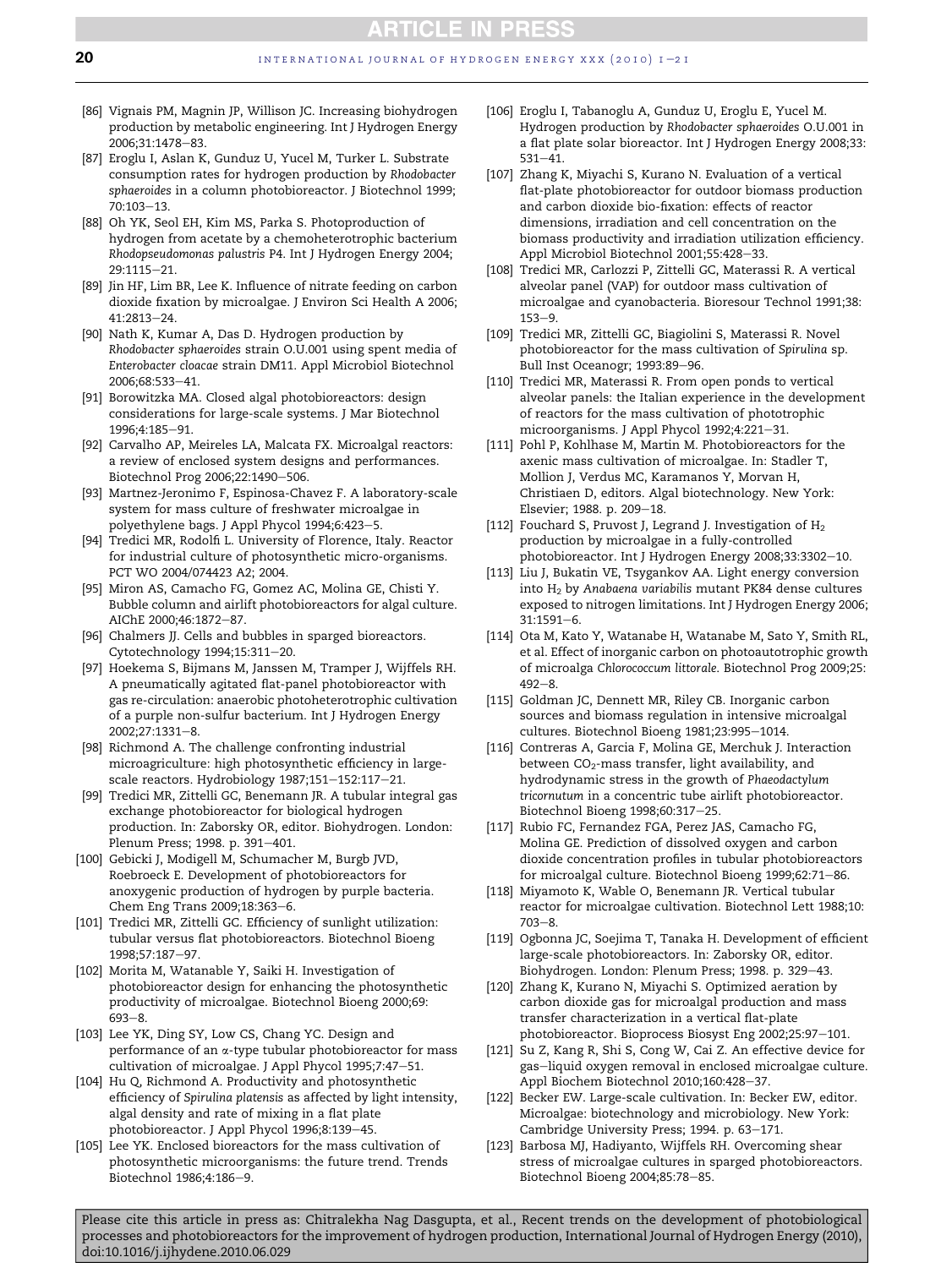- <span id="page-19-0"></span>[86] Vignais PM, Magnin JP, Willison JC. Increasing biohydrogen production by metabolic engineering. Int J Hydrogen Energy 2006;31:1478-83.
- [87] Eroglu I, Aslan K, Gunduz U, Yucel M, Turker L. Substrate consumption rates for hydrogen production by Rhodobacter sphaeroides in a column photobioreactor. J Biotechnol 1999; 70:103-13.
- [88] Oh YK, Seol EH, Kim MS, Parka S. Photoproduction of hydrogen from acetate by a chemoheterotrophic bacterium Rhodopseudomonas palustris P4. Int J Hydrogen Energy 2004; 29:1115-21.
- [89] Jin HF, Lim BR, Lee K. Influence of nitrate feeding on carbon dioxide fixation by microalgae. J Environ Sci Health A 2006; 41:2813-24.
- [90] Nath K, Kumar A, Das D. Hydrogen production by Rhodobacter sphaeroides strain O.U.001 using spent media of Enterobacter cloacae strain DM11. Appl Microbiol Biotechnol 2006:68:533-41.
- [91] Borowitzka MA. Closed algal photobioreactors: design considerations for large-scale systems. J Mar Biotechnol 1996;4:185-91.
- [92] Carvalho AP, Meireles LA, Malcata FX. Microalgal reactors: a review of enclosed system designs and performances. Biotechnol Prog 2006;22:1490-506.
- [93] Martnez-Jeronimo F, Espinosa-Chavez F. A laboratory-scale system for mass culture of freshwater microalgae in polyethylene bags. J Appl Phycol 1994;6:423-5.
- [94] Tredici MR, Rodolfi L. University of Florence, Italy. Reactor for industrial culture of photosynthetic micro-organisms. PCT WO 2004/074423 A2; 2004.
- [95] Miron AS, Camacho FG, Gomez AC, Molina GE, Chisti Y. Bubble column and airlift photobioreactors for algal culture. AIChE 2000;46:1872-87.
- [96] Chalmers JJ. Cells and bubbles in sparged bioreactors. Cytotechnology 1994;15:311-20.
- [97] Hoekema S, Bijmans M, Janssen M, Tramper J, Wijffels RH. A pneumatically agitated flat-panel photobioreactor with gas re-circulation: anaerobic photoheterotrophic cultivation of a purple non-sulfur bacterium. Int J Hydrogen Energy 2002:27:1331-8.
- [98] Richmond A. The challenge confronting industrial microagriculture: high photosynthetic efficiency in largescale reactors. Hydrobiology 1987;151-152:117-21.
- [99] Tredici MR, Zittelli GC, Benemann JR. A tubular integral gas exchange photobioreactor for biological hydrogen production. In: Zaborsky OR, editor. Biohydrogen. London: Plenum Press; 1998. p. 391-401.
- [100] Gebicki J, Modigell M, Schumacher M, Burgb JVD, Roebroeck E. Development of photobioreactors for anoxygenic production of hydrogen by purple bacteria. Chem Eng Trans 2009;18:363-6.
- [101] Tredici MR, Zittelli GC. Efficiency of sunlight utilization: tubular versus flat photobioreactors. Biotechnol Bioeng 1998;57:187-97.
- [102] Morita M, Watanable Y, Saiki H. Investigation of photobioreactor design for enhancing the photosynthetic productivity of microalgae. Biotechnol Bioeng 2000;69:  $693 - 8.$
- [103] Lee YK, Ding SY, Low CS, Chang YC. Design and performance of an a-type tubular photobioreactor for mass cultivation of microalgae. J Appl Phycol 1995;7:47-51.
- [104] Hu Q, Richmond A. Productivity and photosynthetic efficiency of Spirulina platensis as affected by light intensity, algal density and rate of mixing in a flat plate photobioreactor. J Appl Phycol 1996;8:139-45.
- [105] Lee YK. Enclosed bioreactors for the mass cultivation of photosynthetic microorganisms: the future trend. Trends Biotechnol 1986;4:186-9.
- [106] Eroglu I, Tabanoglu A, Gunduz U, Eroglu E, Yucel M. Hydrogen production by Rhodobacter sphaeroides O.U.001 in a flat plate solar bioreactor. Int J Hydrogen Energy 2008;33:  $531 - 41$
- [107] Zhang K, Miyachi S, Kurano N. Evaluation of a vertical flat-plate photobioreactor for outdoor biomass production and carbon dioxide bio-fixation: effects of reactor dimensions, irradiation and cell concentration on the biomass productivity and irradiation utilization efficiency. Appl Microbiol Biotechnol 2001;55:428-33.
- [108] Tredici MR, Carlozzi P, Zittelli GC, Materassi R. A vertical alveolar panel (VAP) for outdoor mass cultivation of microalgae and cyanobacteria. Bioresour Technol 1991;38:  $153 - 9.$
- [109] Tredici MR, Zittelli GC, Biagiolini S, Materassi R. Novel photobioreactor for the mass cultivation of Spirulina sp. Bull Inst Oceanogr; 1993:89-96.
- [110] Tredici MR, Materassi R. From open ponds to vertical alveolar panels: the Italian experience in the development of reactors for the mass cultivation of phototrophic microorganisms. J Appl Phycol 1992;4:221-31.
- [111] Pohl P, Kohlhase M, Martin M. Photobioreactors for the axenic mass cultivation of microalgae. In: Stadler T, Mollion J, Verdus MC, Karamanos Y, Morvan H, Christiaen D, editors. Algal biotechnology. New York: Elsevier; 1988. p. 209-18.
- [112] Fouchard S, Pruvost J, Legrand J. Investigation of  $H_2$ production by microalgae in a fully-controlled photobioreactor. Int J Hydrogen Energy 2008;33:3302-10.
- [113] Liu J, Bukatin VE, Tsygankov AA. Light energy conversion into  $H<sub>2</sub>$  by Anabaena variabilis mutant PK84 dense cultures exposed to nitrogen limitations. Int J Hydrogen Energy 2006;  $31:1591 - 6.$
- [114] Ota M, Kato Y, Watanabe H, Watanabe M, Sato Y, Smith RL, et al. Effect of inorganic carbon on photoautotrophic growth of microalga Chlorococcum littorale. Biotechnol Prog 2009;25:  $492 - 8.$
- [115] Goldman JC, Dennett MR, Riley CB. Inorganic carbon sources and biomass regulation in intensive microalgal cultures. Biotechnol Bioeng 1981;23:995-1014.
- [116] Contreras A, Garcia F, Molina GE, Merchuk J. Interaction between CO<sub>2</sub>-mass transfer, light availability, and hydrodynamic stress in the growth of Phaeodactylum tricornutum in a concentric tube airlift photobioreactor. Biotechnol Bioeng 1998;60:317-25.
- [117] Rubio FC, Fernandez FGA, Perez JAS, Camacho FG, Molina GE. Prediction of dissolved oxygen and carbon dioxide concentration profiles in tubular photobioreactors for microalgal culture. Biotechnol Bioeng 1999;62:71-86.
- [118] Miyamoto K, Wable O, Benemann JR. Vertical tubular reactor for microalgae cultivation. Biotechnol Lett 1988;10:  $703 - 8$
- [119] Ogbonna JC, Soejima T, Tanaka H. Development of efficient large-scale photobioreactors. In: Zaborsky OR, editor. Biohydrogen. London: Plenum Press; 1998. p. 329-43.
- [120] Zhang K, Kurano N, Miyachi S. Optimized aeration by carbon dioxide gas for microalgal production and mass transfer characterization in a vertical flat-plate photobioreactor. Bioprocess Biosyst Eng 2002;25:97-101.
- [121] Su Z, Kang R, Shi S, Cong W, Cai Z. An effective device for gas-liquid oxygen removal in enclosed microalgae culture. Appl Biochem Biotechnol 2010;160:428-37.
- [122] Becker EW. Large-scale cultivation. In: Becker EW, editor. Microalgae: biotechnology and microbiology. New York: Cambridge University Press; 1994. p. 63-171.
- [123] Barbosa MJ, Hadiyanto, Wijffels RH. Overcoming shear stress of microalgae cultures in sparged photobioreactors. Biotechnol Bioeng 2004;85:78-85.